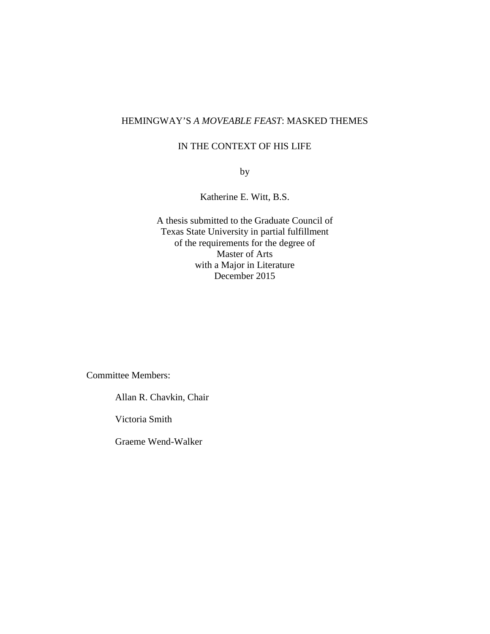## HEMINGWAY'S *A MOVEABLE FEAST*: MASKED THEMES

## IN THE CONTEXT OF HIS LIFE

by

Katherine E. Witt, B.S.

A thesis submitted to the Graduate Council of Texas State University in partial fulfillment of the requirements for the degree of Master of Arts with a Major in Literature December 2015

Committee Members:

Allan R. Chavkin, Chair

Victoria Smith

Graeme Wend-Walker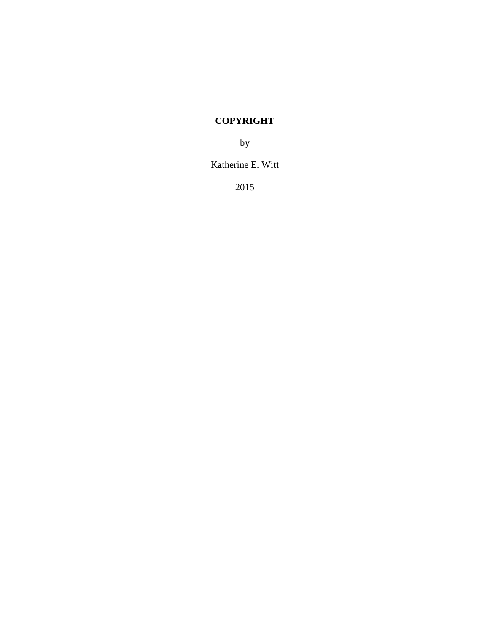# **COPYRIGHT**

by

Katherine E. Witt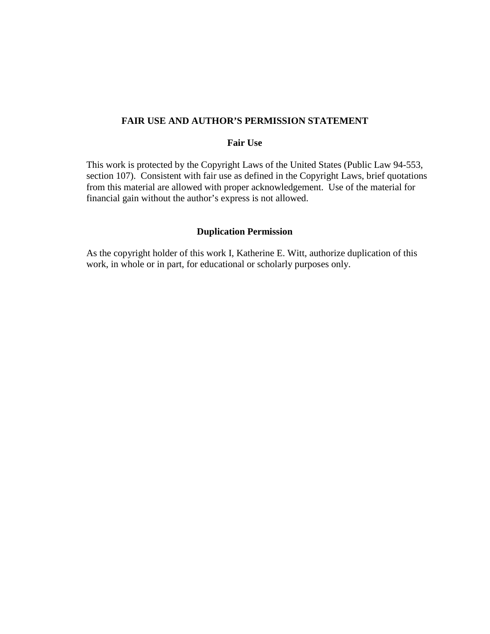### **FAIR USE AND AUTHOR'S PERMISSION STATEMENT**

## **Fair Use**

This work is protected by the Copyright Laws of the United States (Public Law 94-553, section 107). Consistent with fair use as defined in the Copyright Laws, brief quotations from this material are allowed with proper acknowledgement. Use of the material for financial gain without the author's express is not allowed.

## **Duplication Permission**

As the copyright holder of this work I, Katherine E. Witt, authorize duplication of this work, in whole or in part, for educational or scholarly purposes only.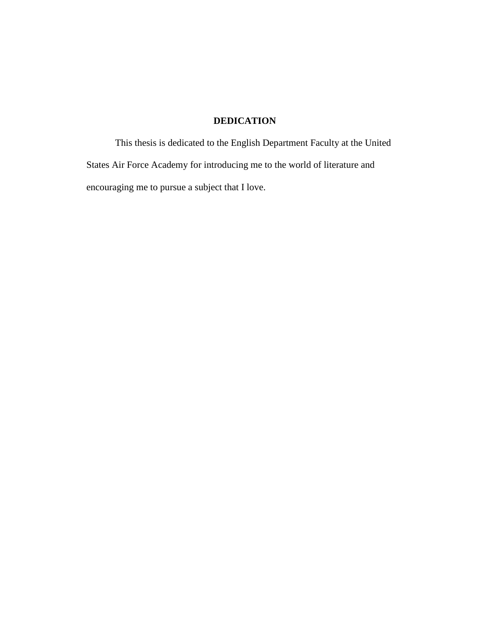## **DEDICATION**

This thesis is dedicated to the English Department Faculty at the United States Air Force Academy for introducing me to the world of literature and encouraging me to pursue a subject that I love.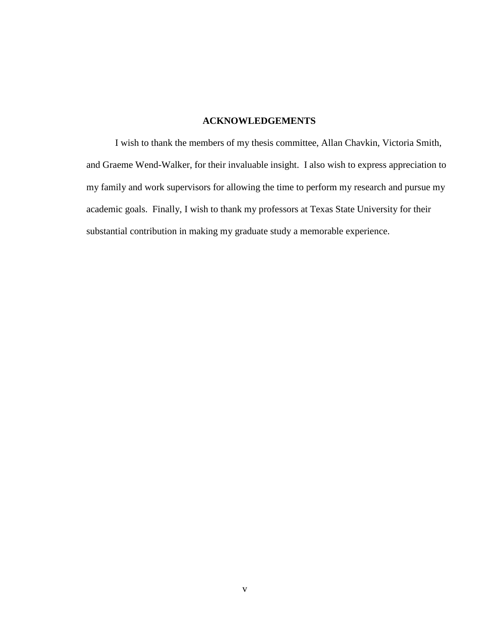### **ACKNOWLEDGEMENTS**

I wish to thank the members of my thesis committee, Allan Chavkin, Victoria Smith, and Graeme Wend-Walker, for their invaluable insight. I also wish to express appreciation to my family and work supervisors for allowing the time to perform my research and pursue my academic goals. Finally, I wish to thank my professors at Texas State University for their substantial contribution in making my graduate study a memorable experience.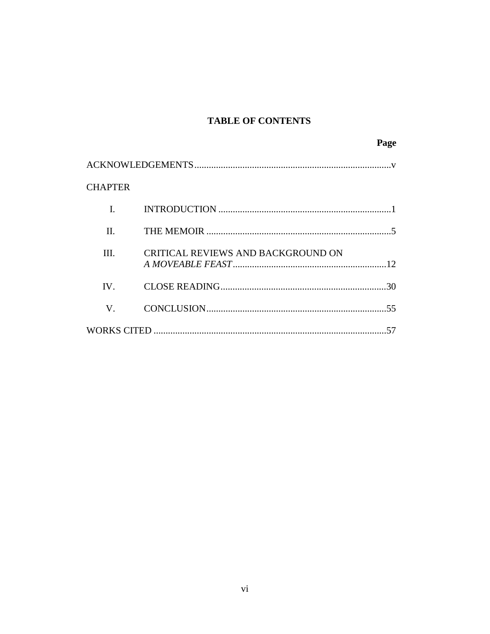## **TABLE OF CONTENTS**

|                |                                    | Page |
|----------------|------------------------------------|------|
|                |                                    |      |
| <b>CHAPTER</b> |                                    |      |
| $\mathbf{I}$ . |                                    |      |
| II.            |                                    |      |
| III.           | CRITICAL REVIEWS AND BACKGROUND ON |      |
| IV.            |                                    |      |
| $\mathbf V$    |                                    |      |
|                |                                    |      |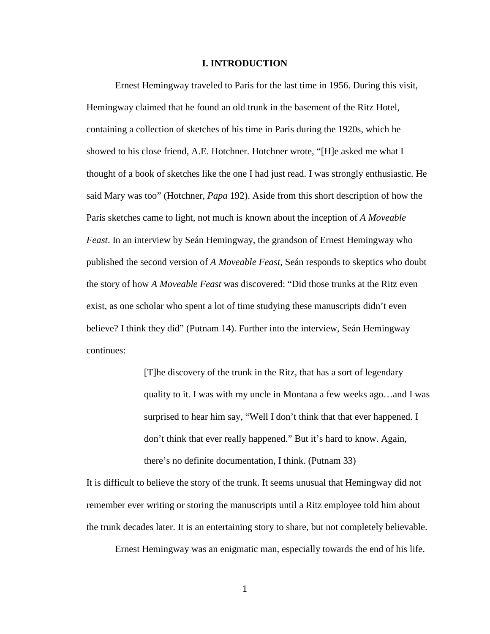#### **I. INTRODUCTION**

Ernest Hemingway traveled to Paris for the last time in 1956. During this visit, Hemingway claimed that he found an old trunk in the basement of the Ritz Hotel, containing a collection of sketches of his time in Paris during the 1920s, which he showed to his close friend, A.E. Hotchner. Hotchner wrote, "[H]e asked me what I thought of a book of sketches like the one I had just read. I was strongly enthusiastic. He said Mary was too" (Hotchner, *Papa* 192). Aside from this short description of how the Paris sketches came to light, not much is known about the inception of *A Moveable Feast*. In an interview by Seán Hemingway, the grandson of Ernest Hemingway who published the second version of *A Moveable Feast*, Seán responds to skeptics who doubt the story of how *A Moveable Feast* was discovered: "Did those trunks at the Ritz even exist, as one scholar who spent a lot of time studying these manuscripts didn't even believe? I think they did" (Putnam 14). Further into the interview, Seán Hemingway continues:

> [T]he discovery of the trunk in the Ritz, that has a sort of legendary quality to it. I was with my uncle in Montana a few weeks ago…and I was surprised to hear him say, "Well I don't think that that ever happened. I don't think that ever really happened." But it's hard to know. Again, there's no definite documentation, I think. (Putnam 33)

It is difficult to believe the story of the trunk. It seems unusual that Hemingway did not remember ever writing or storing the manuscripts until a Ritz employee told him about the trunk decades later. It is an entertaining story to share, but not completely believable.

Ernest Hemingway was an enigmatic man, especially towards the end of his life.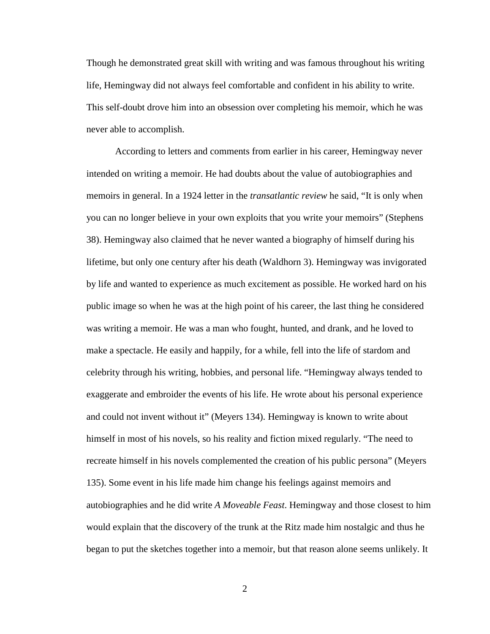Though he demonstrated great skill with writing and was famous throughout his writing life, Hemingway did not always feel comfortable and confident in his ability to write. This self-doubt drove him into an obsession over completing his memoir, which he was never able to accomplish.

According to letters and comments from earlier in his career, Hemingway never intended on writing a memoir. He had doubts about the value of autobiographies and memoirs in general. In a 1924 letter in the *transatlantic review* he said, "It is only when you can no longer believe in your own exploits that you write your memoirs" (Stephens 38). Hemingway also claimed that he never wanted a biography of himself during his lifetime, but only one century after his death (Waldhorn 3). Hemingway was invigorated by life and wanted to experience as much excitement as possible. He worked hard on his public image so when he was at the high point of his career, the last thing he considered was writing a memoir. He was a man who fought, hunted, and drank, and he loved to make a spectacle. He easily and happily, for a while, fell into the life of stardom and celebrity through his writing, hobbies, and personal life. "Hemingway always tended to exaggerate and embroider the events of his life. He wrote about his personal experience and could not invent without it" (Meyers 134). Hemingway is known to write about himself in most of his novels, so his reality and fiction mixed regularly. "The need to recreate himself in his novels complemented the creation of his public persona" (Meyers 135). Some event in his life made him change his feelings against memoirs and autobiographies and he did write *A Moveable Feast*. Hemingway and those closest to him would explain that the discovery of the trunk at the Ritz made him nostalgic and thus he began to put the sketches together into a memoir, but that reason alone seems unlikely. It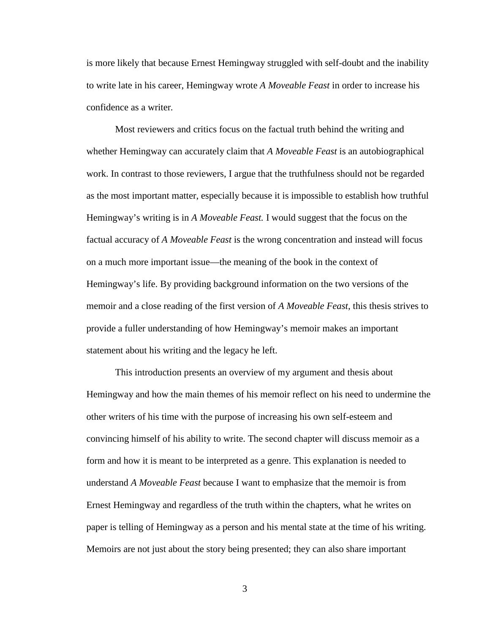is more likely that because Ernest Hemingway struggled with self-doubt and the inability to write late in his career, Hemingway wrote *A Moveable Feast* in order to increase his confidence as a writer*.* 

Most reviewers and critics focus on the factual truth behind the writing and whether Hemingway can accurately claim that *A Moveable Feast* is an autobiographical work. In contrast to those reviewers, I argue that the truthfulness should not be regarded as the most important matter, especially because it is impossible to establish how truthful Hemingway's writing is in *A Moveable Feast.* I would suggest that the focus on the factual accuracy of *A Moveable Feast* is the wrong concentration and instead will focus on a much more important issue—the meaning of the book in the context of Hemingway's life. By providing background information on the two versions of the memoir and a close reading of the first version of *A Moveable Feast*, this thesis strives to provide a fuller understanding of how Hemingway's memoir makes an important statement about his writing and the legacy he left.

This introduction presents an overview of my argument and thesis about Hemingway and how the main themes of his memoir reflect on his need to undermine the other writers of his time with the purpose of increasing his own self-esteem and convincing himself of his ability to write. The second chapter will discuss memoir as a form and how it is meant to be interpreted as a genre. This explanation is needed to understand *A Moveable Feast* because I want to emphasize that the memoir is from Ernest Hemingway and regardless of the truth within the chapters, what he writes on paper is telling of Hemingway as a person and his mental state at the time of his writing. Memoirs are not just about the story being presented; they can also share important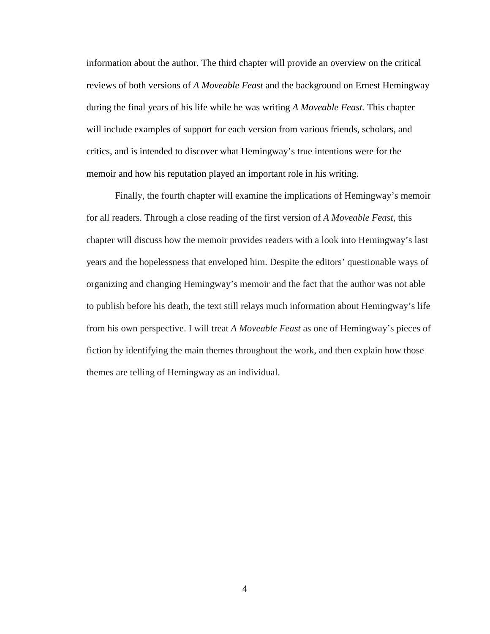information about the author. The third chapter will provide an overview on the critical reviews of both versions of *A Moveable Feast* and the background on Ernest Hemingway during the final years of his life while he was writing *A Moveable Feast.* This chapter will include examples of support for each version from various friends, scholars, and critics, and is intended to discover what Hemingway's true intentions were for the memoir and how his reputation played an important role in his writing.

Finally, the fourth chapter will examine the implications of Hemingway's memoir for all readers. Through a close reading of the first version of *A Moveable Feast*, this chapter will discuss how the memoir provides readers with a look into Hemingway's last years and the hopelessness that enveloped him. Despite the editors' questionable ways of organizing and changing Hemingway's memoir and the fact that the author was not able to publish before his death, the text still relays much information about Hemingway's life from his own perspective. I will treat *A Moveable Feast* as one of Hemingway's pieces of fiction by identifying the main themes throughout the work, and then explain how those themes are telling of Hemingway as an individual.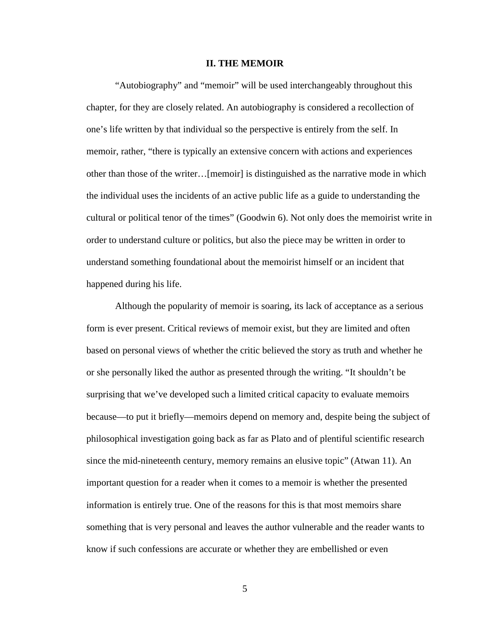#### **II. THE MEMOIR**

"Autobiography" and "memoir" will be used interchangeably throughout this chapter, for they are closely related. An autobiography is considered a recollection of one's life written by that individual so the perspective is entirely from the self. In memoir, rather, "there is typically an extensive concern with actions and experiences other than those of the writer…[memoir] is distinguished as the narrative mode in which the individual uses the incidents of an active public life as a guide to understanding the cultural or political tenor of the times" (Goodwin 6). Not only does the memoirist write in order to understand culture or politics, but also the piece may be written in order to understand something foundational about the memoirist himself or an incident that happened during his life.

Although the popularity of memoir is soaring, its lack of acceptance as a serious form is ever present. Critical reviews of memoir exist, but they are limited and often based on personal views of whether the critic believed the story as truth and whether he or she personally liked the author as presented through the writing. "It shouldn't be surprising that we've developed such a limited critical capacity to evaluate memoirs because—to put it briefly—memoirs depend on memory and, despite being the subject of philosophical investigation going back as far as Plato and of plentiful scientific research since the mid-nineteenth century, memory remains an elusive topic" (Atwan 11). An important question for a reader when it comes to a memoir is whether the presented information is entirely true. One of the reasons for this is that most memoirs share something that is very personal and leaves the author vulnerable and the reader wants to know if such confessions are accurate or whether they are embellished or even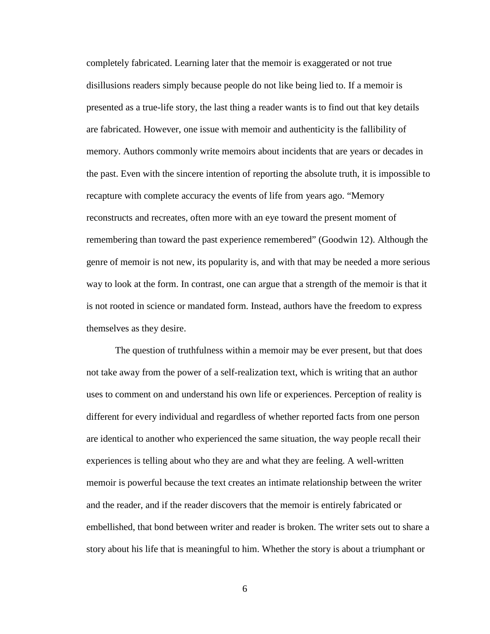completely fabricated. Learning later that the memoir is exaggerated or not true disillusions readers simply because people do not like being lied to. If a memoir is presented as a true-life story, the last thing a reader wants is to find out that key details are fabricated. However, one issue with memoir and authenticity is the fallibility of memory. Authors commonly write memoirs about incidents that are years or decades in the past. Even with the sincere intention of reporting the absolute truth, it is impossible to recapture with complete accuracy the events of life from years ago. "Memory reconstructs and recreates, often more with an eye toward the present moment of remembering than toward the past experience remembered" (Goodwin 12). Although the genre of memoir is not new, its popularity is, and with that may be needed a more serious way to look at the form. In contrast, one can argue that a strength of the memoir is that it is not rooted in science or mandated form. Instead, authors have the freedom to express themselves as they desire.

The question of truthfulness within a memoir may be ever present, but that does not take away from the power of a self-realization text, which is writing that an author uses to comment on and understand his own life or experiences. Perception of reality is different for every individual and regardless of whether reported facts from one person are identical to another who experienced the same situation, the way people recall their experiences is telling about who they are and what they are feeling. A well-written memoir is powerful because the text creates an intimate relationship between the writer and the reader, and if the reader discovers that the memoir is entirely fabricated or embellished, that bond between writer and reader is broken. The writer sets out to share a story about his life that is meaningful to him. Whether the story is about a triumphant or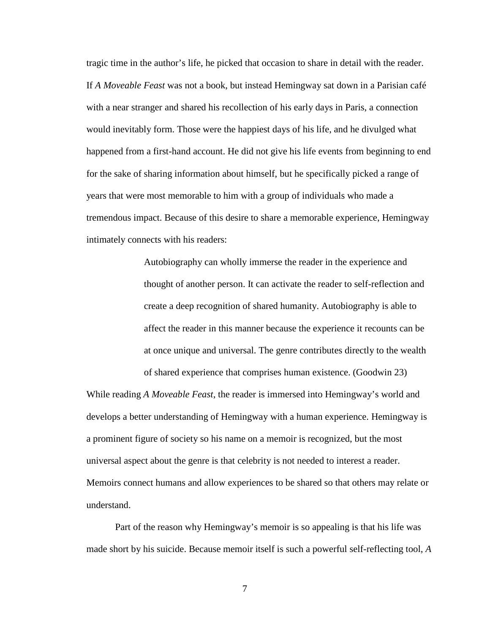tragic time in the author's life, he picked that occasion to share in detail with the reader. If *A Moveable Feast* was not a book, but instead Hemingway sat down in a Parisian café with a near stranger and shared his recollection of his early days in Paris, a connection would inevitably form. Those were the happiest days of his life, and he divulged what happened from a first-hand account. He did not give his life events from beginning to end for the sake of sharing information about himself, but he specifically picked a range of years that were most memorable to him with a group of individuals who made a tremendous impact. Because of this desire to share a memorable experience, Hemingway intimately connects with his readers:

> Autobiography can wholly immerse the reader in the experience and thought of another person. It can activate the reader to self-reflection and create a deep recognition of shared humanity. Autobiography is able to affect the reader in this manner because the experience it recounts can be at once unique and universal. The genre contributes directly to the wealth of shared experience that comprises human existence. (Goodwin 23)

While reading *A Moveable Feast*, the reader is immersed into Hemingway's world and develops a better understanding of Hemingway with a human experience. Hemingway is a prominent figure of society so his name on a memoir is recognized, but the most universal aspect about the genre is that celebrity is not needed to interest a reader. Memoirs connect humans and allow experiences to be shared so that others may relate or understand.

Part of the reason why Hemingway's memoir is so appealing is that his life was made short by his suicide. Because memoir itself is such a powerful self-reflecting tool, *A*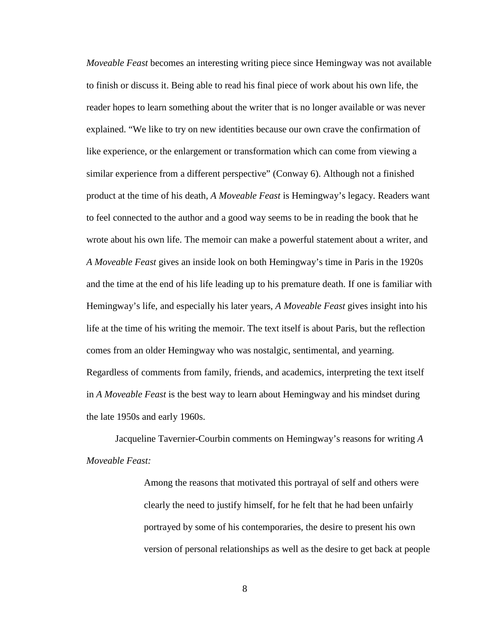*Moveable Feast* becomes an interesting writing piece since Hemingway was not available to finish or discuss it. Being able to read his final piece of work about his own life, the reader hopes to learn something about the writer that is no longer available or was never explained. "We like to try on new identities because our own crave the confirmation of like experience, or the enlargement or transformation which can come from viewing a similar experience from a different perspective" (Conway 6). Although not a finished product at the time of his death, *A Moveable Feast* is Hemingway's legacy. Readers want to feel connected to the author and a good way seems to be in reading the book that he wrote about his own life. The memoir can make a powerful statement about a writer, and *A Moveable Feast* gives an inside look on both Hemingway's time in Paris in the 1920s and the time at the end of his life leading up to his premature death. If one is familiar with Hemingway's life, and especially his later years, *A Moveable Feast* gives insight into his life at the time of his writing the memoir. The text itself is about Paris, but the reflection comes from an older Hemingway who was nostalgic, sentimental, and yearning. Regardless of comments from family, friends, and academics, interpreting the text itself in *A Moveable Feast* is the best way to learn about Hemingway and his mindset during the late 1950s and early 1960s.

Jacqueline Tavernier-Courbin comments on Hemingway's reasons for writing *A Moveable Feast:*

> Among the reasons that motivated this portrayal of self and others were clearly the need to justify himself, for he felt that he had been unfairly portrayed by some of his contemporaries, the desire to present his own version of personal relationships as well as the desire to get back at people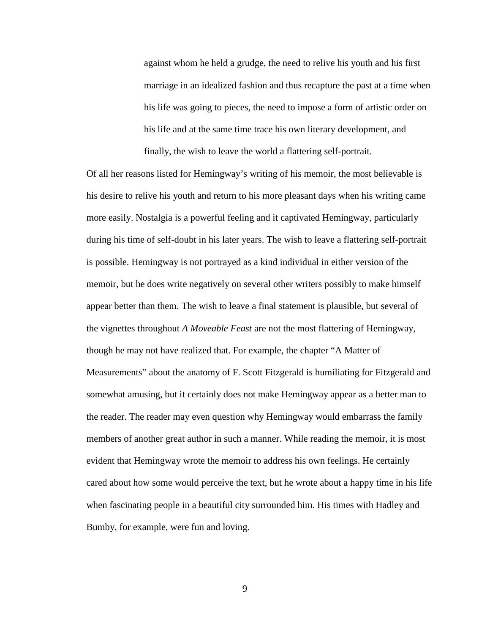against whom he held a grudge, the need to relive his youth and his first marriage in an idealized fashion and thus recapture the past at a time when his life was going to pieces, the need to impose a form of artistic order on his life and at the same time trace his own literary development, and finally, the wish to leave the world a flattering self-portrait.

Of all her reasons listed for Hemingway's writing of his memoir, the most believable is his desire to relive his youth and return to his more pleasant days when his writing came more easily. Nostalgia is a powerful feeling and it captivated Hemingway, particularly during his time of self-doubt in his later years. The wish to leave a flattering self-portrait is possible. Hemingway is not portrayed as a kind individual in either version of the memoir, but he does write negatively on several other writers possibly to make himself appear better than them. The wish to leave a final statement is plausible, but several of the vignettes throughout *A Moveable Feast* are not the most flattering of Hemingway, though he may not have realized that. For example, the chapter "A Matter of Measurements" about the anatomy of F. Scott Fitzgerald is humiliating for Fitzgerald and somewhat amusing, but it certainly does not make Hemingway appear as a better man to the reader. The reader may even question why Hemingway would embarrass the family members of another great author in such a manner. While reading the memoir, it is most evident that Hemingway wrote the memoir to address his own feelings. He certainly cared about how some would perceive the text, but he wrote about a happy time in his life when fascinating people in a beautiful city surrounded him. His times with Hadley and Bumby, for example, were fun and loving.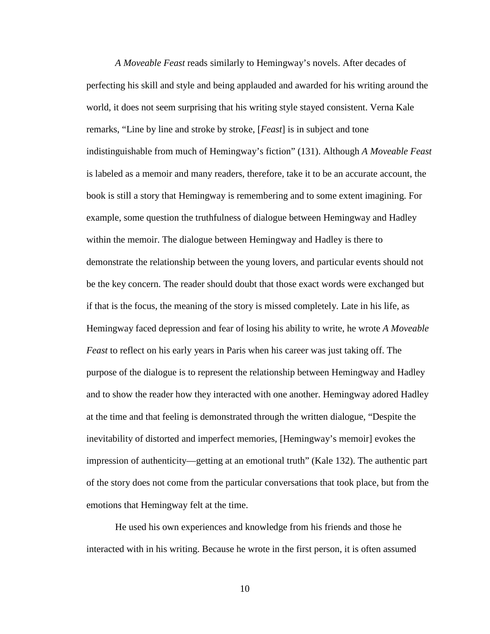*A Moveable Feast* reads similarly to Hemingway's novels. After decades of perfecting his skill and style and being applauded and awarded for his writing around the world, it does not seem surprising that his writing style stayed consistent. Verna Kale remarks, "Line by line and stroke by stroke, [*Feast*] is in subject and tone indistinguishable from much of Hemingway's fiction" (131). Although *A Moveable Feast* is labeled as a memoir and many readers, therefore, take it to be an accurate account, the book is still a story that Hemingway is remembering and to some extent imagining. For example, some question the truthfulness of dialogue between Hemingway and Hadley within the memoir. The dialogue between Hemingway and Hadley is there to demonstrate the relationship between the young lovers, and particular events should not be the key concern. The reader should doubt that those exact words were exchanged but if that is the focus, the meaning of the story is missed completely. Late in his life, as Hemingway faced depression and fear of losing his ability to write, he wrote *A Moveable Feast* to reflect on his early years in Paris when his career was just taking off. The purpose of the dialogue is to represent the relationship between Hemingway and Hadley and to show the reader how they interacted with one another. Hemingway adored Hadley at the time and that feeling is demonstrated through the written dialogue, "Despite the inevitability of distorted and imperfect memories, [Hemingway's memoir] evokes the impression of authenticity—getting at an emotional truth" (Kale 132). The authentic part of the story does not come from the particular conversations that took place, but from the emotions that Hemingway felt at the time.

He used his own experiences and knowledge from his friends and those he interacted with in his writing. Because he wrote in the first person, it is often assumed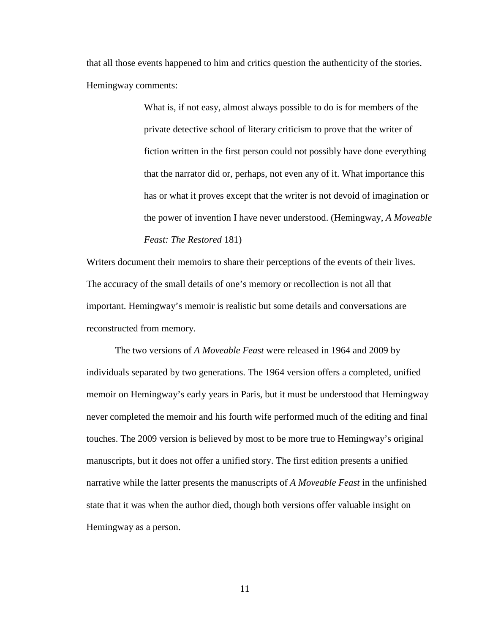that all those events happened to him and critics question the authenticity of the stories. Hemingway comments:

> What is, if not easy, almost always possible to do is for members of the private detective school of literary criticism to prove that the writer of fiction written in the first person could not possibly have done everything that the narrator did or, perhaps, not even any of it. What importance this has or what it proves except that the writer is not devoid of imagination or the power of invention I have never understood. (Hemingway, *A Moveable Feast: The Restored* 181)

Writers document their memoirs to share their perceptions of the events of their lives. The accuracy of the small details of one's memory or recollection is not all that important. Hemingway's memoir is realistic but some details and conversations are reconstructed from memory.

The two versions of *A Moveable Feast* were released in 1964 and 2009 by individuals separated by two generations. The 1964 version offers a completed, unified memoir on Hemingway's early years in Paris, but it must be understood that Hemingway never completed the memoir and his fourth wife performed much of the editing and final touches. The 2009 version is believed by most to be more true to Hemingway's original manuscripts, but it does not offer a unified story. The first edition presents a unified narrative while the latter presents the manuscripts of *A Moveable Feast* in the unfinished state that it was when the author died, though both versions offer valuable insight on Hemingway as a person.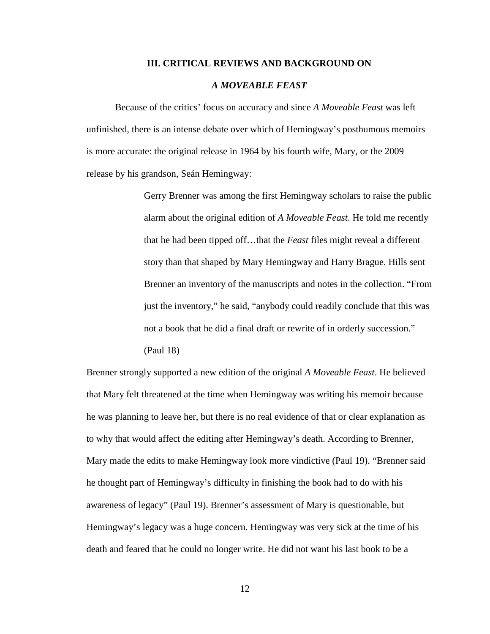#### **III. CRITICAL REVIEWS AND BACKGROUND ON**

#### *A MOVEABLE FEAST*

Because of the critics' focus on accuracy and since *A Moveable Feast* was left unfinished, there is an intense debate over which of Hemingway's posthumous memoirs is more accurate: the original release in 1964 by his fourth wife, Mary, or the 2009 release by his grandson, Seán Hemingway:

> Gerry Brenner was among the first Hemingway scholars to raise the public alarm about the original edition of *A Moveable Feast*. He told me recently that he had been tipped off…that the *Feast* files might reveal a different story than that shaped by Mary Hemingway and Harry Brague. Hills sent Brenner an inventory of the manuscripts and notes in the collection. "From just the inventory," he said, "anybody could readily conclude that this was not a book that he did a final draft or rewrite of in orderly succession." (Paul 18)

Brenner strongly supported a new edition of the original *A Moveable Feast*. He believed that Mary felt threatened at the time when Hemingway was writing his memoir because he was planning to leave her, but there is no real evidence of that or clear explanation as to why that would affect the editing after Hemingway's death. According to Brenner, Mary made the edits to make Hemingway look more vindictive (Paul 19). "Brenner said he thought part of Hemingway's difficulty in finishing the book had to do with his awareness of legacy" (Paul 19). Brenner's assessment of Mary is questionable, but Hemingway's legacy was a huge concern. Hemingway was very sick at the time of his death and feared that he could no longer write. He did not want his last book to be a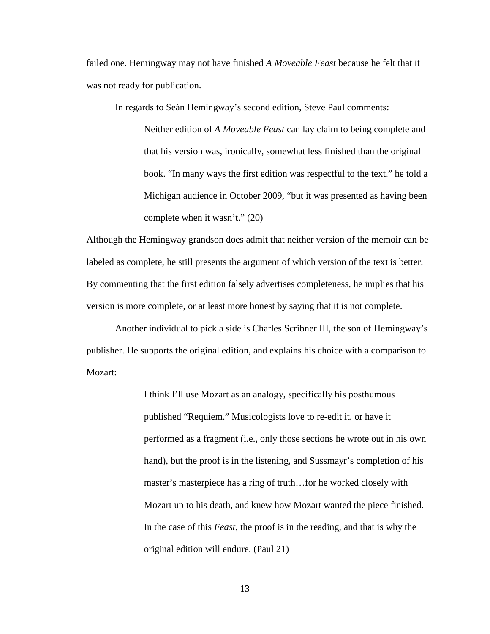failed one. Hemingway may not have finished *A Moveable Feast* because he felt that it was not ready for publication.

In regards to Seán Hemingway's second edition, Steve Paul comments:

Neither edition of *A Moveable Feast* can lay claim to being complete and that his version was, ironically, somewhat less finished than the original book. "In many ways the first edition was respectful to the text," he told a Michigan audience in October 2009, "but it was presented as having been complete when it wasn't." (20)

Although the Hemingway grandson does admit that neither version of the memoir can be labeled as complete, he still presents the argument of which version of the text is better. By commenting that the first edition falsely advertises completeness, he implies that his version is more complete, or at least more honest by saying that it is not complete.

Another individual to pick a side is Charles Scribner III, the son of Hemingway's publisher. He supports the original edition, and explains his choice with a comparison to Mozart:

> I think I'll use Mozart as an analogy, specifically his posthumous published "Requiem." Musicologists love to re-edit it, or have it performed as a fragment (i.e., only those sections he wrote out in his own hand), but the proof is in the listening, and Sussmayr's completion of his master's masterpiece has a ring of truth…for he worked closely with Mozart up to his death, and knew how Mozart wanted the piece finished. In the case of this *Feast*, the proof is in the reading, and that is why the original edition will endure. (Paul 21)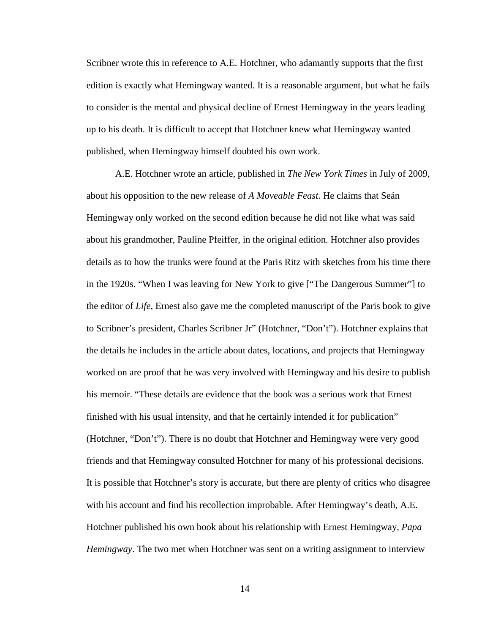Scribner wrote this in reference to A.E. Hotchner, who adamantly supports that the first edition is exactly what Hemingway wanted. It is a reasonable argument, but what he fails to consider is the mental and physical decline of Ernest Hemingway in the years leading up to his death. It is difficult to accept that Hotchner knew what Hemingway wanted published, when Hemingway himself doubted his own work.

A.E. Hotchner wrote an article, published in *The New York Times* in July of 2009, about his opposition to the new release of *A Moveable Feast*. He claims that Seán Hemingway only worked on the second edition because he did not like what was said about his grandmother, Pauline Pfeiffer, in the original edition. Hotchner also provides details as to how the trunks were found at the Paris Ritz with sketches from his time there in the 1920s. "When I was leaving for New York to give ["The Dangerous Summer"] to the editor of *Life*, Ernest also gave me the completed manuscript of the Paris book to give to Scribner's president, Charles Scribner Jr" (Hotchner, "Don't"). Hotchner explains that the details he includes in the article about dates, locations, and projects that Hemingway worked on are proof that he was very involved with Hemingway and his desire to publish his memoir. "These details are evidence that the book was a serious work that Ernest finished with his usual intensity, and that he certainly intended it for publication" (Hotchner, "Don't"). There is no doubt that Hotchner and Hemingway were very good friends and that Hemingway consulted Hotchner for many of his professional decisions. It is possible that Hotchner's story is accurate, but there are plenty of critics who disagree with his account and find his recollection improbable. After Hemingway's death, A.E. Hotchner published his own book about his relationship with Ernest Hemingway, *Papa Hemingway*. The two met when Hotchner was sent on a writing assignment to interview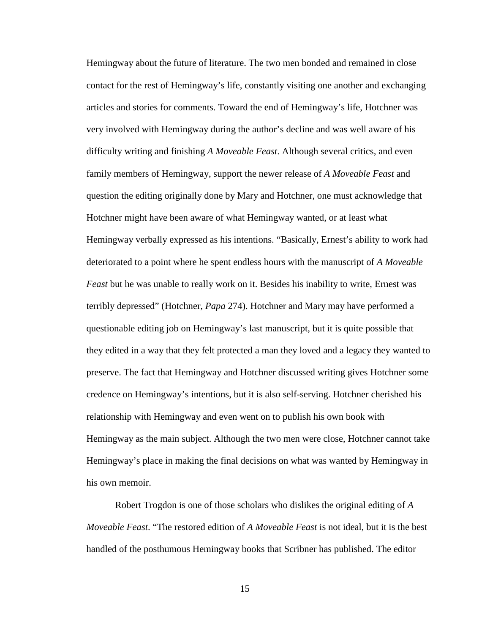Hemingway about the future of literature. The two men bonded and remained in close contact for the rest of Hemingway's life, constantly visiting one another and exchanging articles and stories for comments. Toward the end of Hemingway's life, Hotchner was very involved with Hemingway during the author's decline and was well aware of his difficulty writing and finishing *A Moveable Feast*. Although several critics, and even family members of Hemingway, support the newer release of *A Moveable Feast* and question the editing originally done by Mary and Hotchner, one must acknowledge that Hotchner might have been aware of what Hemingway wanted, or at least what Hemingway verbally expressed as his intentions. "Basically, Ernest's ability to work had deteriorated to a point where he spent endless hours with the manuscript of *A Moveable Feast* but he was unable to really work on it. Besides his inability to write, Ernest was terribly depressed" (Hotchner, *Papa* 274). Hotchner and Mary may have performed a questionable editing job on Hemingway's last manuscript, but it is quite possible that they edited in a way that they felt protected a man they loved and a legacy they wanted to preserve. The fact that Hemingway and Hotchner discussed writing gives Hotchner some credence on Hemingway's intentions, but it is also self-serving. Hotchner cherished his relationship with Hemingway and even went on to publish his own book with Hemingway as the main subject. Although the two men were close, Hotchner cannot take Hemingway's place in making the final decisions on what was wanted by Hemingway in his own memoir.

Robert Trogdon is one of those scholars who dislikes the original editing of *A Moveable Feast*. "The restored edition of *A Moveable Feast* is not ideal, but it is the best handled of the posthumous Hemingway books that Scribner has published. The editor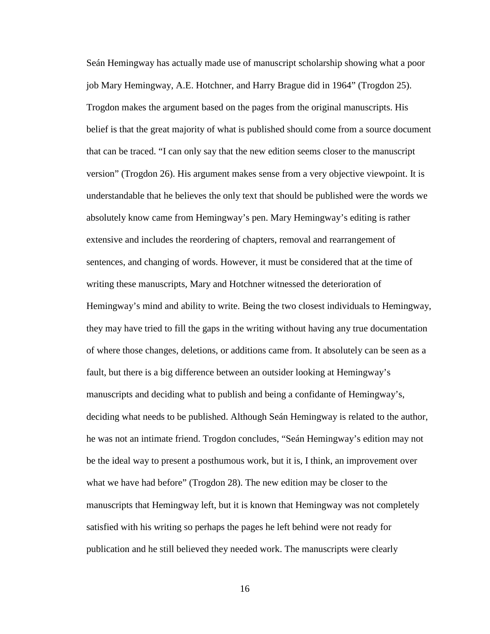Seán Hemingway has actually made use of manuscript scholarship showing what a poor job Mary Hemingway, A.E. Hotchner, and Harry Brague did in 1964" (Trogdon 25). Trogdon makes the argument based on the pages from the original manuscripts. His belief is that the great majority of what is published should come from a source document that can be traced. "I can only say that the new edition seems closer to the manuscript version" (Trogdon 26). His argument makes sense from a very objective viewpoint. It is understandable that he believes the only text that should be published were the words we absolutely know came from Hemingway's pen. Mary Hemingway's editing is rather extensive and includes the reordering of chapters, removal and rearrangement of sentences, and changing of words. However, it must be considered that at the time of writing these manuscripts, Mary and Hotchner witnessed the deterioration of Hemingway's mind and ability to write. Being the two closest individuals to Hemingway, they may have tried to fill the gaps in the writing without having any true documentation of where those changes, deletions, or additions came from. It absolutely can be seen as a fault, but there is a big difference between an outsider looking at Hemingway's manuscripts and deciding what to publish and being a confidante of Hemingway's, deciding what needs to be published. Although Seán Hemingway is related to the author, he was not an intimate friend. Trogdon concludes, "Seán Hemingway's edition may not be the ideal way to present a posthumous work, but it is, I think, an improvement over what we have had before" (Trogdon 28). The new edition may be closer to the manuscripts that Hemingway left, but it is known that Hemingway was not completely satisfied with his writing so perhaps the pages he left behind were not ready for publication and he still believed they needed work. The manuscripts were clearly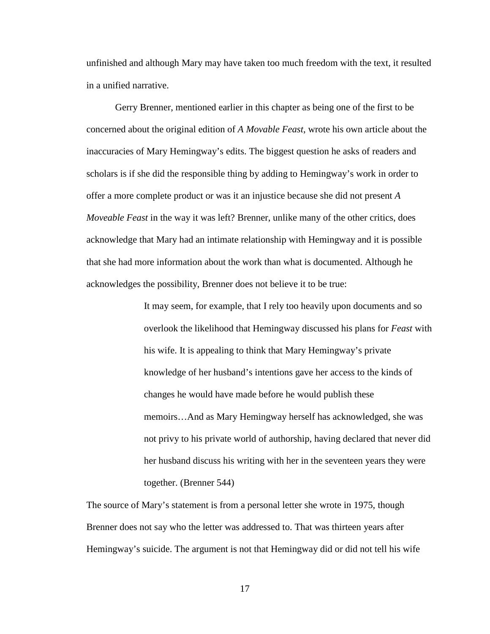unfinished and although Mary may have taken too much freedom with the text, it resulted in a unified narrative.

Gerry Brenner, mentioned earlier in this chapter as being one of the first to be concerned about the original edition of *A Movable Feast*, wrote his own article about the inaccuracies of Mary Hemingway's edits. The biggest question he asks of readers and scholars is if she did the responsible thing by adding to Hemingway's work in order to offer a more complete product or was it an injustice because she did not present *A Moveable Feast* in the way it was left? Brenner, unlike many of the other critics, does acknowledge that Mary had an intimate relationship with Hemingway and it is possible that she had more information about the work than what is documented. Although he acknowledges the possibility, Brenner does not believe it to be true:

> It may seem, for example, that I rely too heavily upon documents and so overlook the likelihood that Hemingway discussed his plans for *Feast* with his wife. It is appealing to think that Mary Hemingway's private knowledge of her husband's intentions gave her access to the kinds of changes he would have made before he would publish these memoirs…And as Mary Hemingway herself has acknowledged, she was not privy to his private world of authorship, having declared that never did her husband discuss his writing with her in the seventeen years they were together. (Brenner 544)

The source of Mary's statement is from a personal letter she wrote in 1975, though Brenner does not say who the letter was addressed to. That was thirteen years after Hemingway's suicide. The argument is not that Hemingway did or did not tell his wife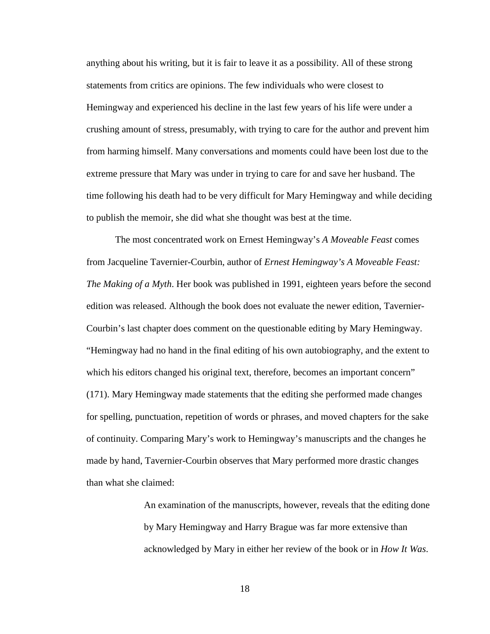anything about his writing, but it is fair to leave it as a possibility. All of these strong statements from critics are opinions. The few individuals who were closest to Hemingway and experienced his decline in the last few years of his life were under a crushing amount of stress, presumably, with trying to care for the author and prevent him from harming himself. Many conversations and moments could have been lost due to the extreme pressure that Mary was under in trying to care for and save her husband. The time following his death had to be very difficult for Mary Hemingway and while deciding to publish the memoir, she did what she thought was best at the time.

The most concentrated work on Ernest Hemingway's *A Moveable Feast* comes from Jacqueline Tavernier-Courbin, author of *Ernest Hemingway's A Moveable Feast: The Making of a Myth*. Her book was published in 1991, eighteen years before the second edition was released. Although the book does not evaluate the newer edition, Tavernier-Courbin's last chapter does comment on the questionable editing by Mary Hemingway. "Hemingway had no hand in the final editing of his own autobiography, and the extent to which his editors changed his original text, therefore, becomes an important concern" (171). Mary Hemingway made statements that the editing she performed made changes for spelling, punctuation, repetition of words or phrases, and moved chapters for the sake of continuity. Comparing Mary's work to Hemingway's manuscripts and the changes he made by hand, Tavernier-Courbin observes that Mary performed more drastic changes than what she claimed:

> An examination of the manuscripts, however, reveals that the editing done by Mary Hemingway and Harry Brague was far more extensive than acknowledged by Mary in either her review of the book or in *How It Was*.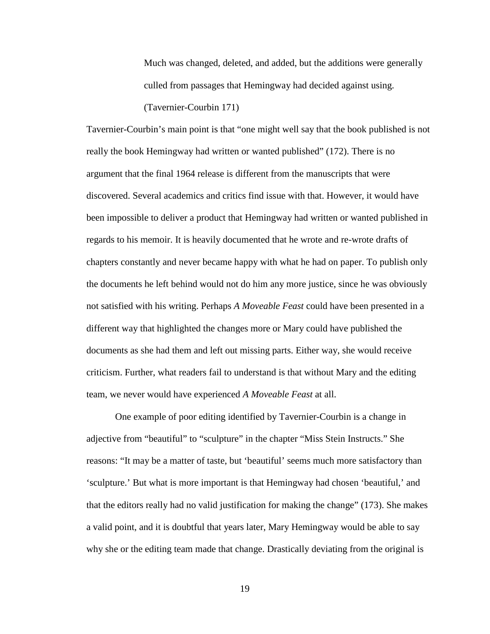Much was changed, deleted, and added, but the additions were generally culled from passages that Hemingway had decided against using.

## (Tavernier-Courbin 171)

Tavernier-Courbin's main point is that "one might well say that the book published is not really the book Hemingway had written or wanted published" (172). There is no argument that the final 1964 release is different from the manuscripts that were discovered. Several academics and critics find issue with that. However, it would have been impossible to deliver a product that Hemingway had written or wanted published in regards to his memoir. It is heavily documented that he wrote and re-wrote drafts of chapters constantly and never became happy with what he had on paper. To publish only the documents he left behind would not do him any more justice, since he was obviously not satisfied with his writing. Perhaps *A Moveable Feast* could have been presented in a different way that highlighted the changes more or Mary could have published the documents as she had them and left out missing parts. Either way, she would receive criticism. Further, what readers fail to understand is that without Mary and the editing team, we never would have experienced *A Moveable Feast* at all.

One example of poor editing identified by Tavernier-Courbin is a change in adjective from "beautiful" to "sculpture" in the chapter "Miss Stein Instructs." She reasons: "It may be a matter of taste, but 'beautiful' seems much more satisfactory than 'sculpture.' But what is more important is that Hemingway had chosen 'beautiful,' and that the editors really had no valid justification for making the change" (173). She makes a valid point, and it is doubtful that years later, Mary Hemingway would be able to say why she or the editing team made that change. Drastically deviating from the original is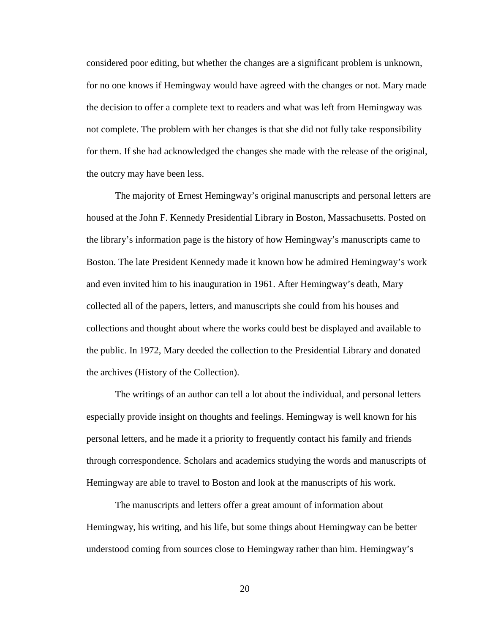considered poor editing, but whether the changes are a significant problem is unknown, for no one knows if Hemingway would have agreed with the changes or not. Mary made the decision to offer a complete text to readers and what was left from Hemingway was not complete. The problem with her changes is that she did not fully take responsibility for them. If she had acknowledged the changes she made with the release of the original, the outcry may have been less.

The majority of Ernest Hemingway's original manuscripts and personal letters are housed at the John F. Kennedy Presidential Library in Boston, Massachusetts. Posted on the library's information page is the history of how Hemingway's manuscripts came to Boston. The late President Kennedy made it known how he admired Hemingway's work and even invited him to his inauguration in 1961. After Hemingway's death, Mary collected all of the papers, letters, and manuscripts she could from his houses and collections and thought about where the works could best be displayed and available to the public. In 1972, Mary deeded the collection to the Presidential Library and donated the archives (History of the Collection).

The writings of an author can tell a lot about the individual, and personal letters especially provide insight on thoughts and feelings. Hemingway is well known for his personal letters, and he made it a priority to frequently contact his family and friends through correspondence. Scholars and academics studying the words and manuscripts of Hemingway are able to travel to Boston and look at the manuscripts of his work.

The manuscripts and letters offer a great amount of information about Hemingway, his writing, and his life, but some things about Hemingway can be better understood coming from sources close to Hemingway rather than him. Hemingway's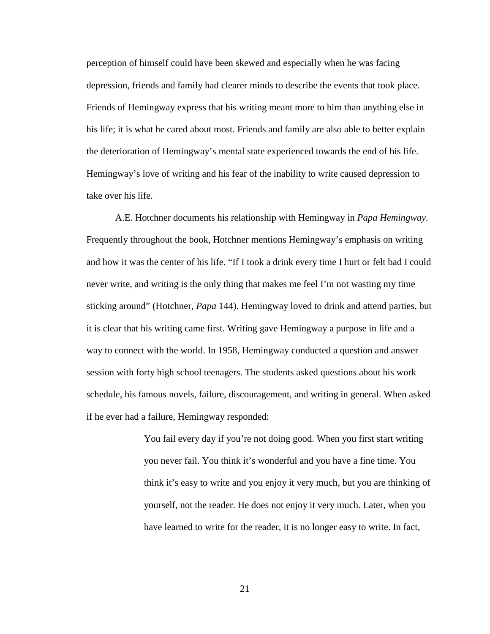perception of himself could have been skewed and especially when he was facing depression, friends and family had clearer minds to describe the events that took place. Friends of Hemingway express that his writing meant more to him than anything else in his life; it is what he cared about most. Friends and family are also able to better explain the deterioration of Hemingway's mental state experienced towards the end of his life. Hemingway's love of writing and his fear of the inability to write caused depression to take over his life.

A.E. Hotchner documents his relationship with Hemingway in *Papa Hemingway*. Frequently throughout the book, Hotchner mentions Hemingway's emphasis on writing and how it was the center of his life. "If I took a drink every time I hurt or felt bad I could never write, and writing is the only thing that makes me feel I'm not wasting my time sticking around" (Hotchner, *Papa* 144). Hemingway loved to drink and attend parties, but it is clear that his writing came first. Writing gave Hemingway a purpose in life and a way to connect with the world. In 1958, Hemingway conducted a question and answer session with forty high school teenagers. The students asked questions about his work schedule, his famous novels, failure, discouragement, and writing in general. When asked if he ever had a failure, Hemingway responded:

> You fail every day if you're not doing good. When you first start writing you never fail. You think it's wonderful and you have a fine time. You think it's easy to write and you enjoy it very much, but you are thinking of yourself, not the reader. He does not enjoy it very much. Later, when you have learned to write for the reader, it is no longer easy to write. In fact,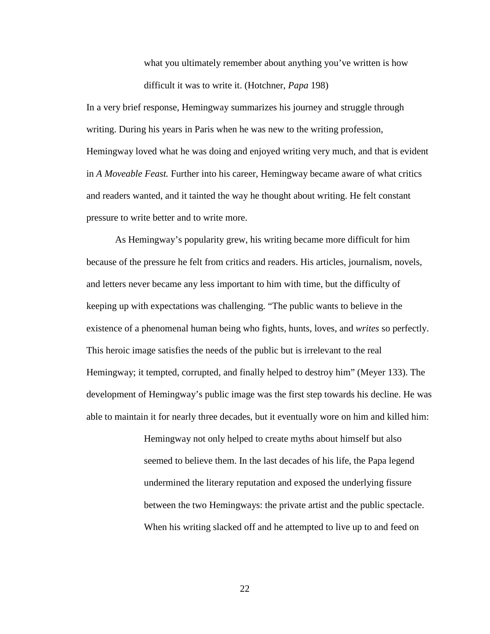what you ultimately remember about anything you've written is how difficult it was to write it. (Hotchner, *Papa* 198)

In a very brief response, Hemingway summarizes his journey and struggle through writing. During his years in Paris when he was new to the writing profession, Hemingway loved what he was doing and enjoyed writing very much, and that is evident in *A Moveable Feast.* Further into his career, Hemingway became aware of what critics and readers wanted, and it tainted the way he thought about writing. He felt constant pressure to write better and to write more.

As Hemingway's popularity grew, his writing became more difficult for him because of the pressure he felt from critics and readers. His articles, journalism, novels, and letters never became any less important to him with time, but the difficulty of keeping up with expectations was challenging. "The public wants to believe in the existence of a phenomenal human being who fights, hunts, loves, and *writes* so perfectly. This heroic image satisfies the needs of the public but is irrelevant to the real Hemingway; it tempted, corrupted, and finally helped to destroy him" (Meyer 133). The development of Hemingway's public image was the first step towards his decline. He was able to maintain it for nearly three decades, but it eventually wore on him and killed him:

> Hemingway not only helped to create myths about himself but also seemed to believe them. In the last decades of his life, the Papa legend undermined the literary reputation and exposed the underlying fissure between the two Hemingways: the private artist and the public spectacle. When his writing slacked off and he attempted to live up to and feed on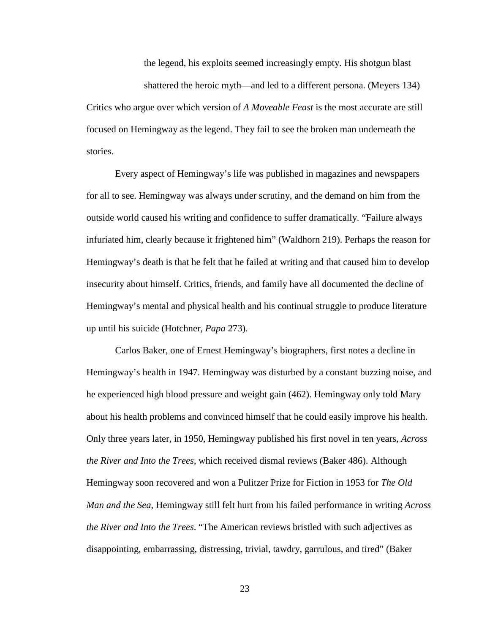the legend, his exploits seemed increasingly empty. His shotgun blast

shattered the heroic myth—and led to a different persona. (Meyers 134) Critics who argue over which version of *A Moveable Feast* is the most accurate are still focused on Hemingway as the legend. They fail to see the broken man underneath the stories.

Every aspect of Hemingway's life was published in magazines and newspapers for all to see. Hemingway was always under scrutiny, and the demand on him from the outside world caused his writing and confidence to suffer dramatically. "Failure always infuriated him, clearly because it frightened him" (Waldhorn 219). Perhaps the reason for Hemingway's death is that he felt that he failed at writing and that caused him to develop insecurity about himself. Critics, friends, and family have all documented the decline of Hemingway's mental and physical health and his continual struggle to produce literature up until his suicide (Hotchner, *Papa* 273).

Carlos Baker, one of Ernest Hemingway's biographers, first notes a decline in Hemingway's health in 1947. Hemingway was disturbed by a constant buzzing noise, and he experienced high blood pressure and weight gain (462). Hemingway only told Mary about his health problems and convinced himself that he could easily improve his health. Only three years later, in 1950, Hemingway published his first novel in ten years, *Across the River and Into the Trees*, which received dismal reviews (Baker 486). Although Hemingway soon recovered and won a Pulitzer Prize for Fiction in 1953 for *The Old Man and the Sea*, Hemingway still felt hurt from his failed performance in writing *Across the River and Into the Trees*. "The American reviews bristled with such adjectives as disappointing, embarrassing, distressing, trivial, tawdry, garrulous, and tired" (Baker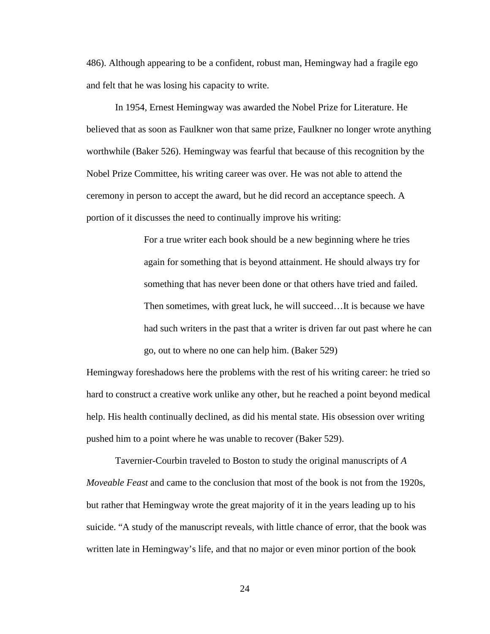486). Although appearing to be a confident, robust man, Hemingway had a fragile ego and felt that he was losing his capacity to write.

In 1954, Ernest Hemingway was awarded the Nobel Prize for Literature. He believed that as soon as Faulkner won that same prize, Faulkner no longer wrote anything worthwhile (Baker 526). Hemingway was fearful that because of this recognition by the Nobel Prize Committee, his writing career was over. He was not able to attend the ceremony in person to accept the award, but he did record an acceptance speech. A portion of it discusses the need to continually improve his writing:

> For a true writer each book should be a new beginning where he tries again for something that is beyond attainment. He should always try for something that has never been done or that others have tried and failed. Then sometimes, with great luck, he will succeed…It is because we have had such writers in the past that a writer is driven far out past where he can go, out to where no one can help him. (Baker 529)

Hemingway foreshadows here the problems with the rest of his writing career: he tried so hard to construct a creative work unlike any other, but he reached a point beyond medical help. His health continually declined, as did his mental state. His obsession over writing pushed him to a point where he was unable to recover (Baker 529).

Tavernier-Courbin traveled to Boston to study the original manuscripts of *A Moveable Feast* and came to the conclusion that most of the book is not from the 1920s, but rather that Hemingway wrote the great majority of it in the years leading up to his suicide. "A study of the manuscript reveals, with little chance of error, that the book was written late in Hemingway's life, and that no major or even minor portion of the book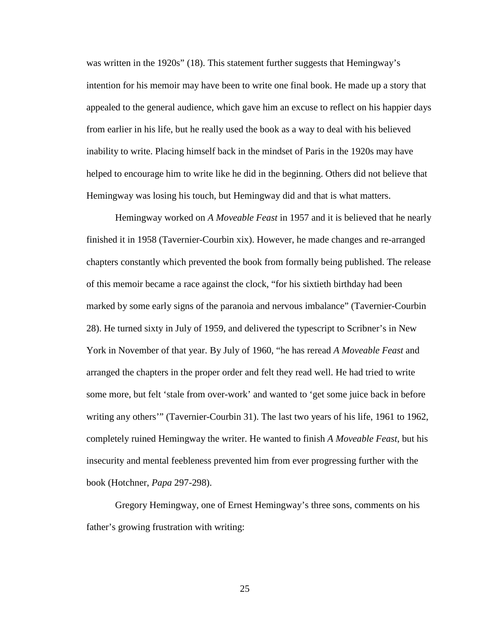was written in the 1920s" (18). This statement further suggests that Hemingway's intention for his memoir may have been to write one final book. He made up a story that appealed to the general audience, which gave him an excuse to reflect on his happier days from earlier in his life, but he really used the book as a way to deal with his believed inability to write. Placing himself back in the mindset of Paris in the 1920s may have helped to encourage him to write like he did in the beginning. Others did not believe that Hemingway was losing his touch, but Hemingway did and that is what matters.

Hemingway worked on *A Moveable Feast* in 1957 and it is believed that he nearly finished it in 1958 (Tavernier-Courbin xix). However, he made changes and re-arranged chapters constantly which prevented the book from formally being published. The release of this memoir became a race against the clock, "for his sixtieth birthday had been marked by some early signs of the paranoia and nervous imbalance" (Tavernier-Courbin 28). He turned sixty in July of 1959, and delivered the typescript to Scribner's in New York in November of that year. By July of 1960, "he has reread *A Moveable Feast* and arranged the chapters in the proper order and felt they read well. He had tried to write some more, but felt 'stale from over-work' and wanted to 'get some juice back in before writing any others'" (Tavernier-Courbin 31). The last two years of his life, 1961 to 1962, completely ruined Hemingway the writer. He wanted to finish *A Moveable Feast*, but his insecurity and mental feebleness prevented him from ever progressing further with the book (Hotchner, *Papa* 297-298).

Gregory Hemingway, one of Ernest Hemingway's three sons, comments on his father's growing frustration with writing: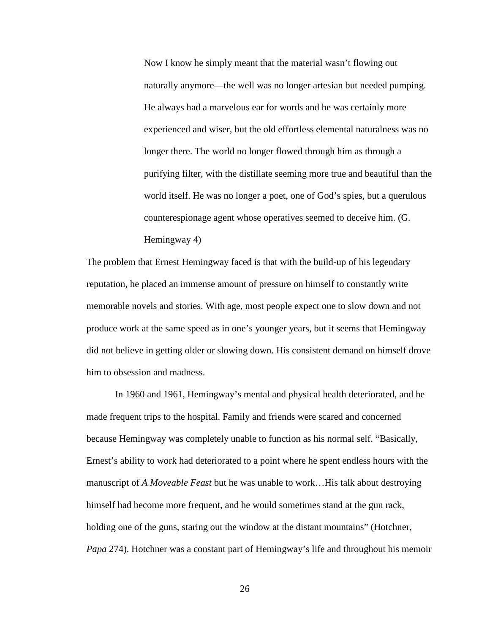Now I know he simply meant that the material wasn't flowing out naturally anymore—the well was no longer artesian but needed pumping. He always had a marvelous ear for words and he was certainly more experienced and wiser, but the old effortless elemental naturalness was no longer there. The world no longer flowed through him as through a purifying filter, with the distillate seeming more true and beautiful than the world itself. He was no longer a poet, one of God's spies, but a querulous counterespionage agent whose operatives seemed to deceive him. (G. Hemingway 4)

The problem that Ernest Hemingway faced is that with the build-up of his legendary reputation, he placed an immense amount of pressure on himself to constantly write memorable novels and stories. With age, most people expect one to slow down and not produce work at the same speed as in one's younger years, but it seems that Hemingway did not believe in getting older or slowing down. His consistent demand on himself drove him to obsession and madness.

In 1960 and 1961, Hemingway's mental and physical health deteriorated, and he made frequent trips to the hospital. Family and friends were scared and concerned because Hemingway was completely unable to function as his normal self. "Basically, Ernest's ability to work had deteriorated to a point where he spent endless hours with the manuscript of *A Moveable Feast* but he was unable to work…His talk about destroying himself had become more frequent, and he would sometimes stand at the gun rack, holding one of the guns, staring out the window at the distant mountains" (Hotchner, *Papa* 274). Hotchner was a constant part of Hemingway's life and throughout his memoir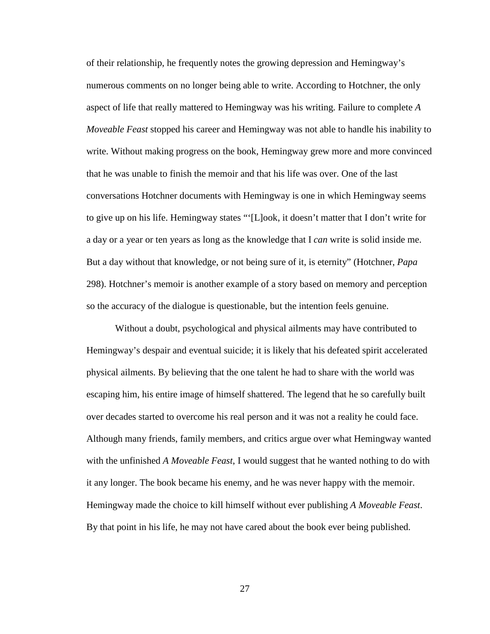of their relationship, he frequently notes the growing depression and Hemingway's numerous comments on no longer being able to write. According to Hotchner, the only aspect of life that really mattered to Hemingway was his writing. Failure to complete *A Moveable Feast* stopped his career and Hemingway was not able to handle his inability to write. Without making progress on the book, Hemingway grew more and more convinced that he was unable to finish the memoir and that his life was over. One of the last conversations Hotchner documents with Hemingway is one in which Hemingway seems to give up on his life. Hemingway states "'[L]ook, it doesn't matter that I don't write for a day or a year or ten years as long as the knowledge that I *can* write is solid inside me. But a day without that knowledge, or not being sure of it, is eternity" (Hotchner, *Papa* 298). Hotchner's memoir is another example of a story based on memory and perception so the accuracy of the dialogue is questionable, but the intention feels genuine.

Without a doubt, psychological and physical ailments may have contributed to Hemingway's despair and eventual suicide; it is likely that his defeated spirit accelerated physical ailments. By believing that the one talent he had to share with the world was escaping him, his entire image of himself shattered. The legend that he so carefully built over decades started to overcome his real person and it was not a reality he could face. Although many friends, family members, and critics argue over what Hemingway wanted with the unfinished *A Moveable Feast*, I would suggest that he wanted nothing to do with it any longer. The book became his enemy, and he was never happy with the memoir. Hemingway made the choice to kill himself without ever publishing *A Moveable Feast*. By that point in his life, he may not have cared about the book ever being published.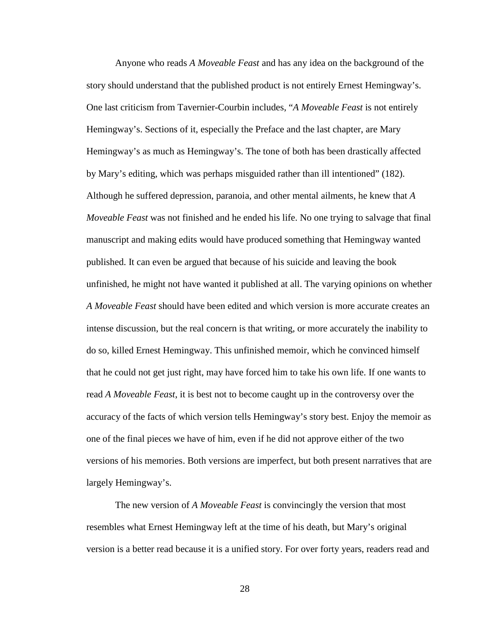Anyone who reads *A Moveable Feast* and has any idea on the background of the story should understand that the published product is not entirely Ernest Hemingway's. One last criticism from Tavernier-Courbin includes, "*A Moveable Feast* is not entirely Hemingway's. Sections of it, especially the Preface and the last chapter, are Mary Hemingway's as much as Hemingway's. The tone of both has been drastically affected by Mary's editing, which was perhaps misguided rather than ill intentioned" (182). Although he suffered depression, paranoia, and other mental ailments, he knew that *A Moveable Feast* was not finished and he ended his life. No one trying to salvage that final manuscript and making edits would have produced something that Hemingway wanted published. It can even be argued that because of his suicide and leaving the book unfinished, he might not have wanted it published at all. The varying opinions on whether *A Moveable Feast* should have been edited and which version is more accurate creates an intense discussion, but the real concern is that writing, or more accurately the inability to do so, killed Ernest Hemingway. This unfinished memoir, which he convinced himself that he could not get just right, may have forced him to take his own life. If one wants to read *A Moveable Feast*, it is best not to become caught up in the controversy over the accuracy of the facts of which version tells Hemingway's story best. Enjoy the memoir as one of the final pieces we have of him, even if he did not approve either of the two versions of his memories. Both versions are imperfect, but both present narratives that are largely Hemingway's.

The new version of *A Moveable Feast* is convincingly the version that most resembles what Ernest Hemingway left at the time of his death, but Mary's original version is a better read because it is a unified story. For over forty years, readers read and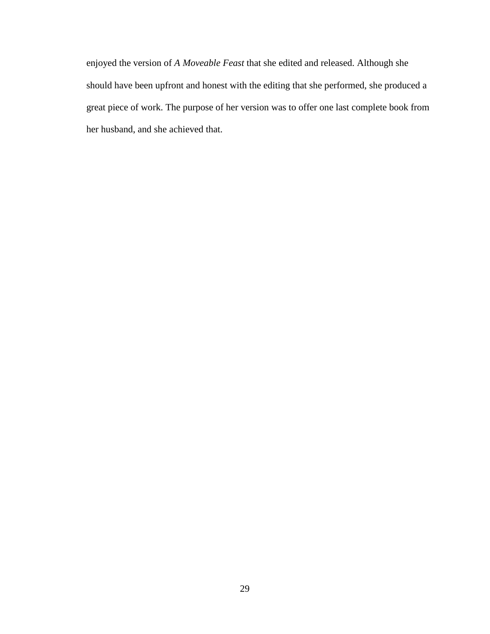enjoyed the version of *A Moveable Feast* that she edited and released. Although she should have been upfront and honest with the editing that she performed, she produced a great piece of work. The purpose of her version was to offer one last complete book from her husband, and she achieved that.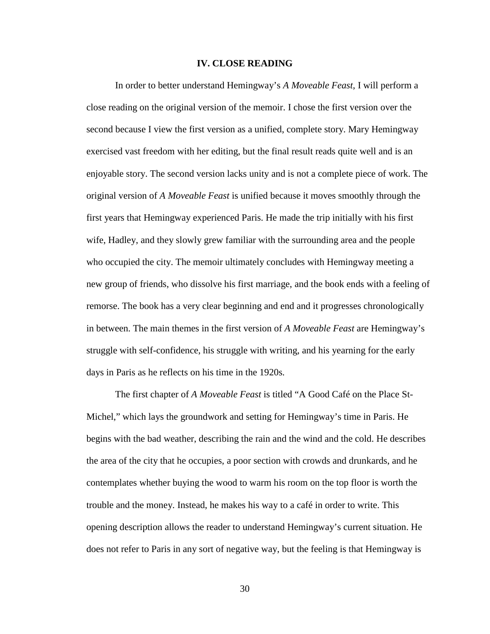#### **IV. CLOSE READING**

In order to better understand Hemingway's *A Moveable Feast*, I will perform a close reading on the original version of the memoir. I chose the first version over the second because I view the first version as a unified, complete story. Mary Hemingway exercised vast freedom with her editing, but the final result reads quite well and is an enjoyable story. The second version lacks unity and is not a complete piece of work. The original version of *A Moveable Feast* is unified because it moves smoothly through the first years that Hemingway experienced Paris. He made the trip initially with his first wife, Hadley, and they slowly grew familiar with the surrounding area and the people who occupied the city. The memoir ultimately concludes with Hemingway meeting a new group of friends, who dissolve his first marriage, and the book ends with a feeling of remorse. The book has a very clear beginning and end and it progresses chronologically in between. The main themes in the first version of *A Moveable Feast* are Hemingway's struggle with self-confidence, his struggle with writing, and his yearning for the early days in Paris as he reflects on his time in the 1920s.

The first chapter of *A Moveable Feast* is titled "A Good Café on the Place St-Michel," which lays the groundwork and setting for Hemingway's time in Paris. He begins with the bad weather, describing the rain and the wind and the cold. He describes the area of the city that he occupies, a poor section with crowds and drunkards, and he contemplates whether buying the wood to warm his room on the top floor is worth the trouble and the money. Instead, he makes his way to a café in order to write. This opening description allows the reader to understand Hemingway's current situation. He does not refer to Paris in any sort of negative way, but the feeling is that Hemingway is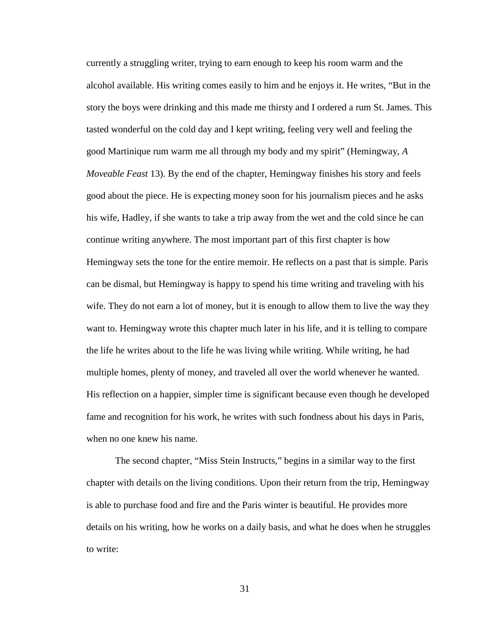currently a struggling writer, trying to earn enough to keep his room warm and the alcohol available. His writing comes easily to him and he enjoys it. He writes, "But in the story the boys were drinking and this made me thirsty and I ordered a rum St. James. This tasted wonderful on the cold day and I kept writing, feeling very well and feeling the good Martinique rum warm me all through my body and my spirit" (Hemingway, *A Moveable Feast* 13). By the end of the chapter, Hemingway finishes his story and feels good about the piece. He is expecting money soon for his journalism pieces and he asks his wife, Hadley, if she wants to take a trip away from the wet and the cold since he can continue writing anywhere. The most important part of this first chapter is how Hemingway sets the tone for the entire memoir. He reflects on a past that is simple. Paris can be dismal, but Hemingway is happy to spend his time writing and traveling with his wife. They do not earn a lot of money, but it is enough to allow them to live the way they want to. Hemingway wrote this chapter much later in his life, and it is telling to compare the life he writes about to the life he was living while writing. While writing, he had multiple homes, plenty of money, and traveled all over the world whenever he wanted. His reflection on a happier, simpler time is significant because even though he developed fame and recognition for his work, he writes with such fondness about his days in Paris, when no one knew his name.

The second chapter, "Miss Stein Instructs," begins in a similar way to the first chapter with details on the living conditions. Upon their return from the trip, Hemingway is able to purchase food and fire and the Paris winter is beautiful. He provides more details on his writing, how he works on a daily basis, and what he does when he struggles to write: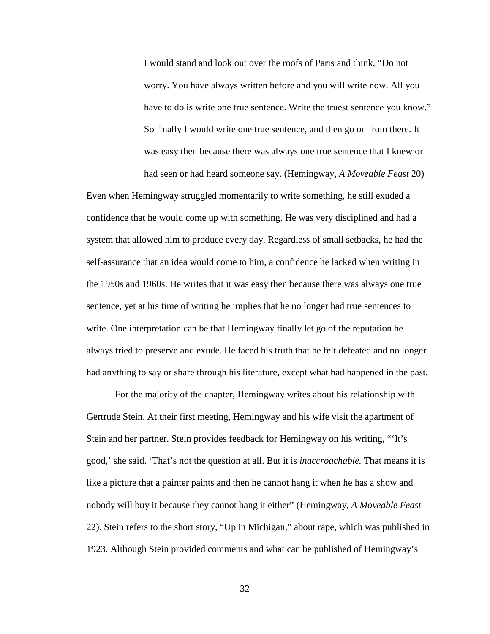I would stand and look out over the roofs of Paris and think, "Do not worry. You have always written before and you will write now. All you have to do is write one true sentence. Write the truest sentence you know." So finally I would write one true sentence, and then go on from there. It was easy then because there was always one true sentence that I knew or had seen or had heard someone say. (Hemingway, *A Moveable Feast* 20)

Even when Hemingway struggled momentarily to write something, he still exuded a confidence that he would come up with something. He was very disciplined and had a system that allowed him to produce every day. Regardless of small setbacks, he had the self-assurance that an idea would come to him, a confidence he lacked when writing in the 1950s and 1960s. He writes that it was easy then because there was always one true sentence, yet at his time of writing he implies that he no longer had true sentences to write. One interpretation can be that Hemingway finally let go of the reputation he always tried to preserve and exude. He faced his truth that he felt defeated and no longer had anything to say or share through his literature, except what had happened in the past.

For the majority of the chapter, Hemingway writes about his relationship with Gertrude Stein. At their first meeting, Hemingway and his wife visit the apartment of Stein and her partner. Stein provides feedback for Hemingway on his writing, "'It's good,' she said. 'That's not the question at all. But it is *inaccroachable.* That means it is like a picture that a painter paints and then he cannot hang it when he has a show and nobody will buy it because they cannot hang it either" (Hemingway, *A Moveable Feast* 22). Stein refers to the short story, "Up in Michigan," about rape, which was published in 1923. Although Stein provided comments and what can be published of Hemingway's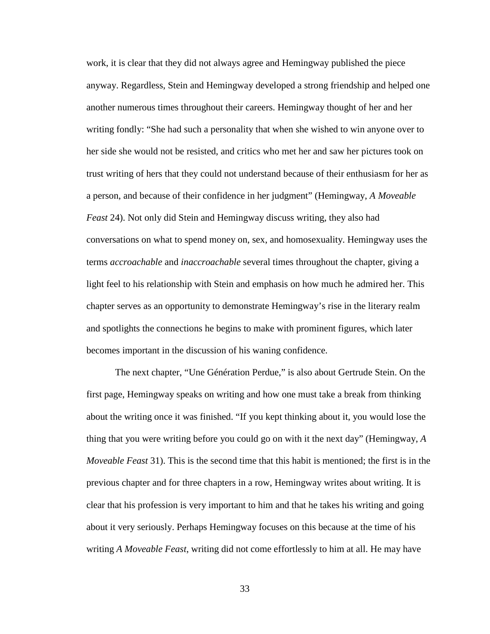work, it is clear that they did not always agree and Hemingway published the piece anyway. Regardless, Stein and Hemingway developed a strong friendship and helped one another numerous times throughout their careers. Hemingway thought of her and her writing fondly: "She had such a personality that when she wished to win anyone over to her side she would not be resisted, and critics who met her and saw her pictures took on trust writing of hers that they could not understand because of their enthusiasm for her as a person, and because of their confidence in her judgment" (Hemingway, *A Moveable Feast* 24). Not only did Stein and Hemingway discuss writing, they also had conversations on what to spend money on, sex, and homosexuality. Hemingway uses the terms *accroachable* and *inaccroachable* several times throughout the chapter, giving a light feel to his relationship with Stein and emphasis on how much he admired her. This chapter serves as an opportunity to demonstrate Hemingway's rise in the literary realm and spotlights the connections he begins to make with prominent figures, which later becomes important in the discussion of his waning confidence.

The next chapter, "Une Génération Perdue," is also about Gertrude Stein. On the first page, Hemingway speaks on writing and how one must take a break from thinking about the writing once it was finished. "If you kept thinking about it, you would lose the thing that you were writing before you could go on with it the next day" (Hemingway, *A Moveable Feast* 31). This is the second time that this habit is mentioned; the first is in the previous chapter and for three chapters in a row, Hemingway writes about writing. It is clear that his profession is very important to him and that he takes his writing and going about it very seriously. Perhaps Hemingway focuses on this because at the time of his writing *A Moveable Feast*, writing did not come effortlessly to him at all. He may have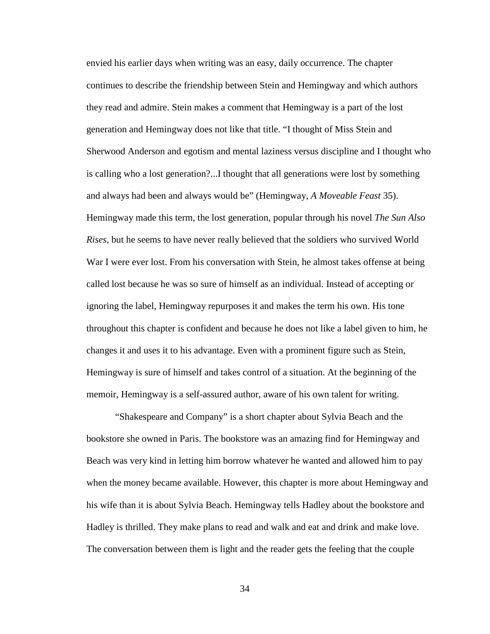envied his earlier days when writing was an easy, daily occurrence. The chapter continues to describe the friendship between Stein and Hemingway and which authors they read and admire. Stein makes a comment that Hemingway is a part of the lost generation and Hemingway does not like that title. "I thought of Miss Stein and Sherwood Anderson and egotism and mental laziness versus discipline and I thought who is calling who a lost generation?...I thought that all generations were lost by something and always had been and always would be" (Hemingway, *A Moveable Feast* 35). Hemingway made this term, the lost generation, popular through his novel *The Sun Also Rises*, but he seems to have never really believed that the soldiers who survived World War I were ever lost. From his conversation with Stein, he almost takes offense at being called lost because he was so sure of himself as an individual. Instead of accepting or ignoring the label, Hemingway repurposes it and makes the term his own. His tone throughout this chapter is confident and because he does not like a label given to him, he changes it and uses it to his advantage. Even with a prominent figure such as Stein, Hemingway is sure of himself and takes control of a situation. At the beginning of the memoir, Hemingway is a self-assured author, aware of his own talent for writing.

"Shakespeare and Company" is a short chapter about Sylvia Beach and the bookstore she owned in Paris. The bookstore was an amazing find for Hemingway and Beach was very kind in letting him borrow whatever he wanted and allowed him to pay when the money became available. However, this chapter is more about Hemingway and his wife than it is about Sylvia Beach. Hemingway tells Hadley about the bookstore and Hadley is thrilled. They make plans to read and walk and eat and drink and make love. The conversation between them is light and the reader gets the feeling that the couple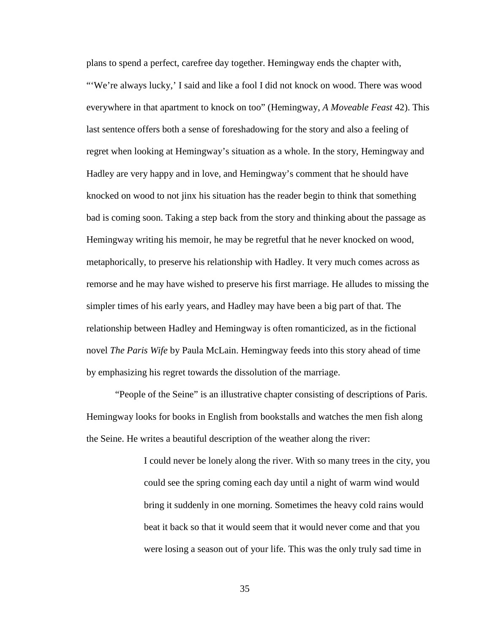plans to spend a perfect, carefree day together. Hemingway ends the chapter with, "'We're always lucky,' I said and like a fool I did not knock on wood. There was wood everywhere in that apartment to knock on too" (Hemingway, *A Moveable Feast* 42). This last sentence offers both a sense of foreshadowing for the story and also a feeling of regret when looking at Hemingway's situation as a whole. In the story, Hemingway and Hadley are very happy and in love, and Hemingway's comment that he should have knocked on wood to not jinx his situation has the reader begin to think that something bad is coming soon. Taking a step back from the story and thinking about the passage as Hemingway writing his memoir, he may be regretful that he never knocked on wood, metaphorically, to preserve his relationship with Hadley. It very much comes across as remorse and he may have wished to preserve his first marriage. He alludes to missing the simpler times of his early years, and Hadley may have been a big part of that. The relationship between Hadley and Hemingway is often romanticized, as in the fictional novel *The Paris Wife* by Paula McLain. Hemingway feeds into this story ahead of time by emphasizing his regret towards the dissolution of the marriage.

"People of the Seine" is an illustrative chapter consisting of descriptions of Paris. Hemingway looks for books in English from bookstalls and watches the men fish along the Seine. He writes a beautiful description of the weather along the river:

> I could never be lonely along the river. With so many trees in the city, you could see the spring coming each day until a night of warm wind would bring it suddenly in one morning. Sometimes the heavy cold rains would beat it back so that it would seem that it would never come and that you were losing a season out of your life. This was the only truly sad time in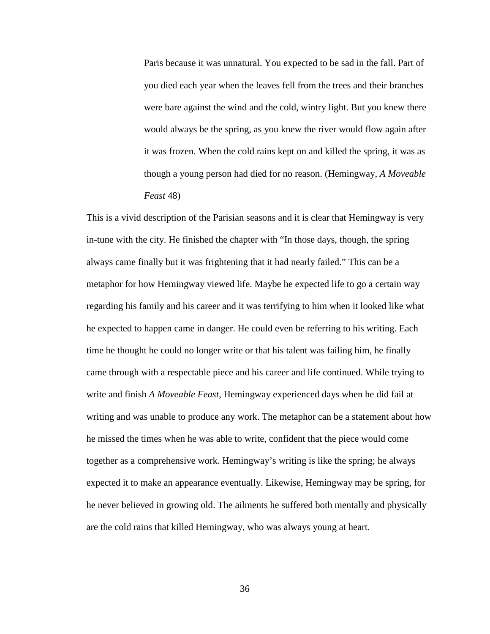Paris because it was unnatural. You expected to be sad in the fall. Part of you died each year when the leaves fell from the trees and their branches were bare against the wind and the cold, wintry light. But you knew there would always be the spring, as you knew the river would flow again after it was frozen. When the cold rains kept on and killed the spring, it was as though a young person had died for no reason. (Hemingway, *A Moveable Feast* 48)

This is a vivid description of the Parisian seasons and it is clear that Hemingway is very in-tune with the city. He finished the chapter with "In those days, though, the spring always came finally but it was frightening that it had nearly failed." This can be a metaphor for how Hemingway viewed life. Maybe he expected life to go a certain way regarding his family and his career and it was terrifying to him when it looked like what he expected to happen came in danger. He could even be referring to his writing. Each time he thought he could no longer write or that his talent was failing him, he finally came through with a respectable piece and his career and life continued. While trying to write and finish *A Moveable Feast,* Hemingway experienced days when he did fail at writing and was unable to produce any work. The metaphor can be a statement about how he missed the times when he was able to write, confident that the piece would come together as a comprehensive work. Hemingway's writing is like the spring; he always expected it to make an appearance eventually. Likewise, Hemingway may be spring, for he never believed in growing old. The ailments he suffered both mentally and physically are the cold rains that killed Hemingway, who was always young at heart.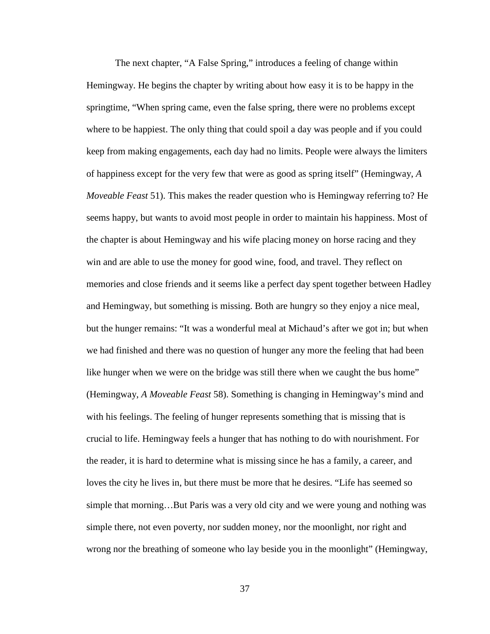The next chapter, "A False Spring," introduces a feeling of change within Hemingway. He begins the chapter by writing about how easy it is to be happy in the springtime, "When spring came, even the false spring, there were no problems except where to be happiest. The only thing that could spoil a day was people and if you could keep from making engagements, each day had no limits. People were always the limiters of happiness except for the very few that were as good as spring itself" (Hemingway, *A Moveable Feast* 51). This makes the reader question who is Hemingway referring to? He seems happy, but wants to avoid most people in order to maintain his happiness. Most of the chapter is about Hemingway and his wife placing money on horse racing and they win and are able to use the money for good wine, food, and travel. They reflect on memories and close friends and it seems like a perfect day spent together between Hadley and Hemingway, but something is missing. Both are hungry so they enjoy a nice meal, but the hunger remains: "It was a wonderful meal at Michaud's after we got in; but when we had finished and there was no question of hunger any more the feeling that had been like hunger when we were on the bridge was still there when we caught the bus home" (Hemingway, *A Moveable Feast* 58). Something is changing in Hemingway's mind and with his feelings. The feeling of hunger represents something that is missing that is crucial to life. Hemingway feels a hunger that has nothing to do with nourishment. For the reader, it is hard to determine what is missing since he has a family, a career, and loves the city he lives in, but there must be more that he desires. "Life has seemed so simple that morning…But Paris was a very old city and we were young and nothing was simple there, not even poverty, nor sudden money, nor the moonlight, nor right and wrong nor the breathing of someone who lay beside you in the moonlight" (Hemingway,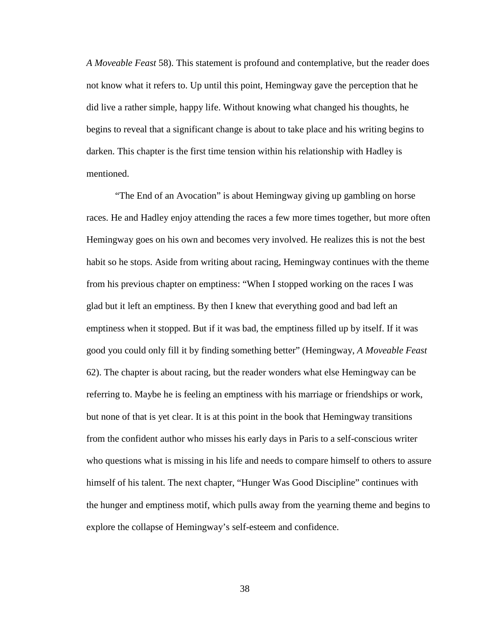*A Moveable Feast* 58). This statement is profound and contemplative, but the reader does not know what it refers to. Up until this point, Hemingway gave the perception that he did live a rather simple, happy life. Without knowing what changed his thoughts, he begins to reveal that a significant change is about to take place and his writing begins to darken. This chapter is the first time tension within his relationship with Hadley is mentioned.

"The End of an Avocation" is about Hemingway giving up gambling on horse races. He and Hadley enjoy attending the races a few more times together, but more often Hemingway goes on his own and becomes very involved. He realizes this is not the best habit so he stops. Aside from writing about racing, Hemingway continues with the theme from his previous chapter on emptiness: "When I stopped working on the races I was glad but it left an emptiness. By then I knew that everything good and bad left an emptiness when it stopped. But if it was bad, the emptiness filled up by itself. If it was good you could only fill it by finding something better" (Hemingway, *A Moveable Feast* 62). The chapter is about racing, but the reader wonders what else Hemingway can be referring to. Maybe he is feeling an emptiness with his marriage or friendships or work, but none of that is yet clear. It is at this point in the book that Hemingway transitions from the confident author who misses his early days in Paris to a self-conscious writer who questions what is missing in his life and needs to compare himself to others to assure himself of his talent. The next chapter, "Hunger Was Good Discipline" continues with the hunger and emptiness motif, which pulls away from the yearning theme and begins to explore the collapse of Hemingway's self-esteem and confidence.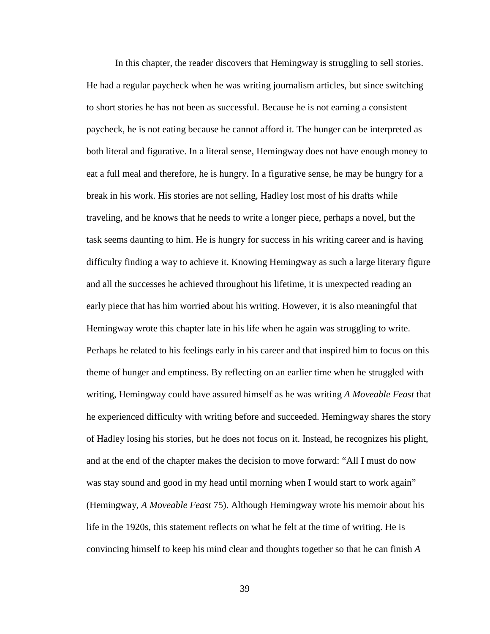In this chapter, the reader discovers that Hemingway is struggling to sell stories. He had a regular paycheck when he was writing journalism articles, but since switching to short stories he has not been as successful. Because he is not earning a consistent paycheck, he is not eating because he cannot afford it. The hunger can be interpreted as both literal and figurative. In a literal sense, Hemingway does not have enough money to eat a full meal and therefore, he is hungry. In a figurative sense, he may be hungry for a break in his work. His stories are not selling, Hadley lost most of his drafts while traveling, and he knows that he needs to write a longer piece, perhaps a novel, but the task seems daunting to him. He is hungry for success in his writing career and is having difficulty finding a way to achieve it. Knowing Hemingway as such a large literary figure and all the successes he achieved throughout his lifetime, it is unexpected reading an early piece that has him worried about his writing. However, it is also meaningful that Hemingway wrote this chapter late in his life when he again was struggling to write. Perhaps he related to his feelings early in his career and that inspired him to focus on this theme of hunger and emptiness. By reflecting on an earlier time when he struggled with writing, Hemingway could have assured himself as he was writing *A Moveable Feast* that he experienced difficulty with writing before and succeeded. Hemingway shares the story of Hadley losing his stories, but he does not focus on it. Instead, he recognizes his plight, and at the end of the chapter makes the decision to move forward: "All I must do now was stay sound and good in my head until morning when I would start to work again" (Hemingway, *A Moveable Feast* 75). Although Hemingway wrote his memoir about his life in the 1920s, this statement reflects on what he felt at the time of writing. He is convincing himself to keep his mind clear and thoughts together so that he can finish *A*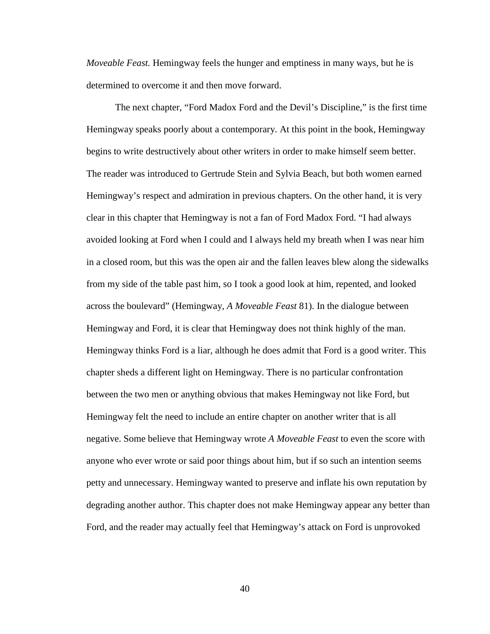*Moveable Feast.* Hemingway feels the hunger and emptiness in many ways, but he is determined to overcome it and then move forward.

The next chapter, "Ford Madox Ford and the Devil's Discipline," is the first time Hemingway speaks poorly about a contemporary. At this point in the book, Hemingway begins to write destructively about other writers in order to make himself seem better. The reader was introduced to Gertrude Stein and Sylvia Beach, but both women earned Hemingway's respect and admiration in previous chapters. On the other hand, it is very clear in this chapter that Hemingway is not a fan of Ford Madox Ford. "I had always avoided looking at Ford when I could and I always held my breath when I was near him in a closed room, but this was the open air and the fallen leaves blew along the sidewalks from my side of the table past him, so I took a good look at him, repented, and looked across the boulevard" (Hemingway, *A Moveable Feast* 81). In the dialogue between Hemingway and Ford, it is clear that Hemingway does not think highly of the man. Hemingway thinks Ford is a liar, although he does admit that Ford is a good writer. This chapter sheds a different light on Hemingway. There is no particular confrontation between the two men or anything obvious that makes Hemingway not like Ford, but Hemingway felt the need to include an entire chapter on another writer that is all negative. Some believe that Hemingway wrote *A Moveable Feast* to even the score with anyone who ever wrote or said poor things about him, but if so such an intention seems petty and unnecessary. Hemingway wanted to preserve and inflate his own reputation by degrading another author. This chapter does not make Hemingway appear any better than Ford, and the reader may actually feel that Hemingway's attack on Ford is unprovoked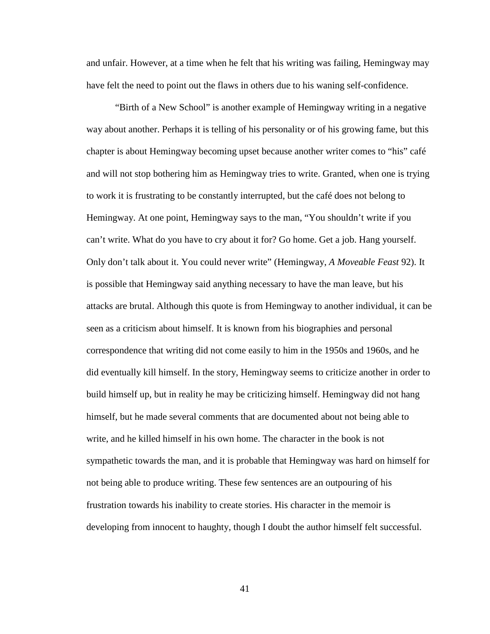and unfair. However, at a time when he felt that his writing was failing, Hemingway may have felt the need to point out the flaws in others due to his waning self-confidence.

"Birth of a New School" is another example of Hemingway writing in a negative way about another. Perhaps it is telling of his personality or of his growing fame, but this chapter is about Hemingway becoming upset because another writer comes to "his" café and will not stop bothering him as Hemingway tries to write. Granted, when one is trying to work it is frustrating to be constantly interrupted, but the café does not belong to Hemingway. At one point, Hemingway says to the man, "You shouldn't write if you can't write. What do you have to cry about it for? Go home. Get a job. Hang yourself. Only don't talk about it. You could never write" (Hemingway, *A Moveable Feast* 92). It is possible that Hemingway said anything necessary to have the man leave, but his attacks are brutal. Although this quote is from Hemingway to another individual, it can be seen as a criticism about himself. It is known from his biographies and personal correspondence that writing did not come easily to him in the 1950s and 1960s, and he did eventually kill himself. In the story, Hemingway seems to criticize another in order to build himself up, but in reality he may be criticizing himself. Hemingway did not hang himself, but he made several comments that are documented about not being able to write, and he killed himself in his own home. The character in the book is not sympathetic towards the man, and it is probable that Hemingway was hard on himself for not being able to produce writing. These few sentences are an outpouring of his frustration towards his inability to create stories. His character in the memoir is developing from innocent to haughty, though I doubt the author himself felt successful.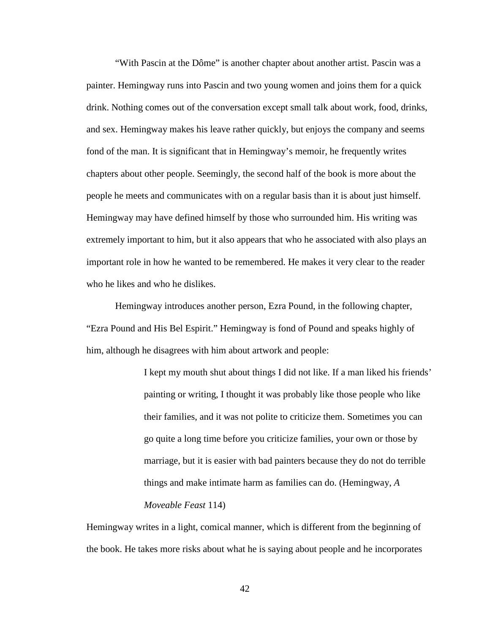"With Pascin at the Dôme" is another chapter about another artist. Pascin was a painter. Hemingway runs into Pascin and two young women and joins them for a quick drink. Nothing comes out of the conversation except small talk about work, food, drinks, and sex. Hemingway makes his leave rather quickly, but enjoys the company and seems fond of the man. It is significant that in Hemingway's memoir, he frequently writes chapters about other people. Seemingly, the second half of the book is more about the people he meets and communicates with on a regular basis than it is about just himself. Hemingway may have defined himself by those who surrounded him. His writing was extremely important to him, but it also appears that who he associated with also plays an important role in how he wanted to be remembered. He makes it very clear to the reader who he likes and who he dislikes.

Hemingway introduces another person, Ezra Pound, in the following chapter, "Ezra Pound and His Bel Espirit." Hemingway is fond of Pound and speaks highly of him, although he disagrees with him about artwork and people:

> I kept my mouth shut about things I did not like. If a man liked his friends' painting or writing, I thought it was probably like those people who like their families, and it was not polite to criticize them. Sometimes you can go quite a long time before you criticize families, your own or those by marriage, but it is easier with bad painters because they do not do terrible things and make intimate harm as families can do. (Hemingway, *A Moveable Feast* 114)

Hemingway writes in a light, comical manner, which is different from the beginning of the book. He takes more risks about what he is saying about people and he incorporates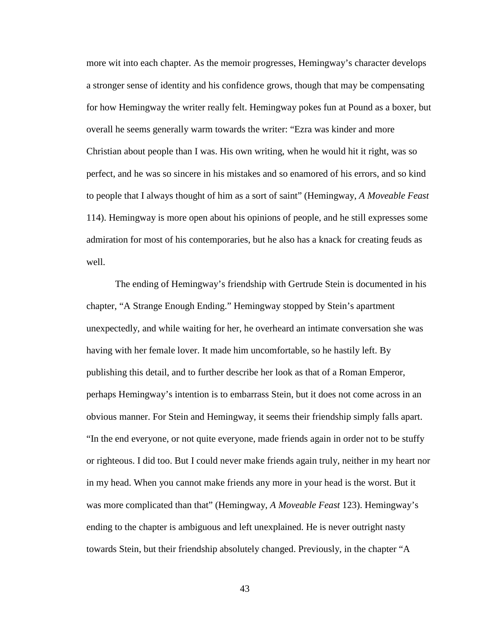more wit into each chapter. As the memoir progresses, Hemingway's character develops a stronger sense of identity and his confidence grows, though that may be compensating for how Hemingway the writer really felt. Hemingway pokes fun at Pound as a boxer, but overall he seems generally warm towards the writer: "Ezra was kinder and more Christian about people than I was. His own writing, when he would hit it right, was so perfect, and he was so sincere in his mistakes and so enamored of his errors, and so kind to people that I always thought of him as a sort of saint" (Hemingway, *A Moveable Feast* 114). Hemingway is more open about his opinions of people, and he still expresses some admiration for most of his contemporaries, but he also has a knack for creating feuds as well.

The ending of Hemingway's friendship with Gertrude Stein is documented in his chapter, "A Strange Enough Ending." Hemingway stopped by Stein's apartment unexpectedly, and while waiting for her, he overheard an intimate conversation she was having with her female lover. It made him uncomfortable, so he hastily left. By publishing this detail, and to further describe her look as that of a Roman Emperor, perhaps Hemingway's intention is to embarrass Stein, but it does not come across in an obvious manner. For Stein and Hemingway, it seems their friendship simply falls apart. "In the end everyone, or not quite everyone, made friends again in order not to be stuffy or righteous. I did too. But I could never make friends again truly, neither in my heart nor in my head. When you cannot make friends any more in your head is the worst. But it was more complicated than that" (Hemingway, *A Moveable Feast* 123). Hemingway's ending to the chapter is ambiguous and left unexplained. He is never outright nasty towards Stein, but their friendship absolutely changed. Previously, in the chapter "A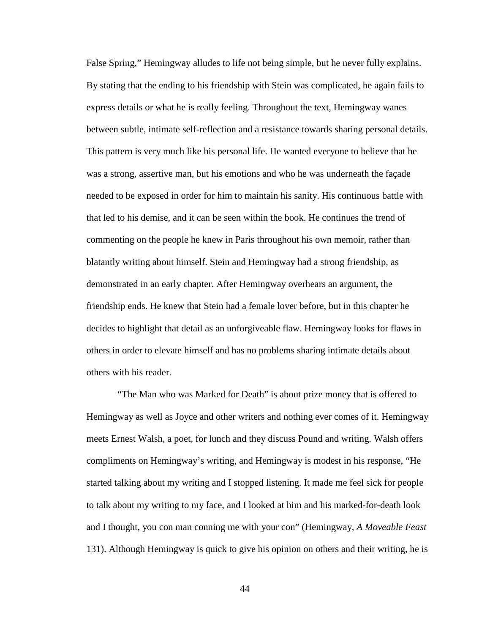False Spring," Hemingway alludes to life not being simple, but he never fully explains. By stating that the ending to his friendship with Stein was complicated, he again fails to express details or what he is really feeling. Throughout the text, Hemingway wanes between subtle, intimate self-reflection and a resistance towards sharing personal details. This pattern is very much like his personal life. He wanted everyone to believe that he was a strong, assertive man, but his emotions and who he was underneath the façade needed to be exposed in order for him to maintain his sanity. His continuous battle with that led to his demise, and it can be seen within the book. He continues the trend of commenting on the people he knew in Paris throughout his own memoir, rather than blatantly writing about himself. Stein and Hemingway had a strong friendship, as demonstrated in an early chapter. After Hemingway overhears an argument, the friendship ends. He knew that Stein had a female lover before, but in this chapter he decides to highlight that detail as an unforgiveable flaw. Hemingway looks for flaws in others in order to elevate himself and has no problems sharing intimate details about others with his reader.

"The Man who was Marked for Death" is about prize money that is offered to Hemingway as well as Joyce and other writers and nothing ever comes of it. Hemingway meets Ernest Walsh, a poet, for lunch and they discuss Pound and writing. Walsh offers compliments on Hemingway's writing, and Hemingway is modest in his response, "He started talking about my writing and I stopped listening. It made me feel sick for people to talk about my writing to my face, and I looked at him and his marked-for-death look and I thought, you con man conning me with your con" (Hemingway, *A Moveable Feast* 131). Although Hemingway is quick to give his opinion on others and their writing, he is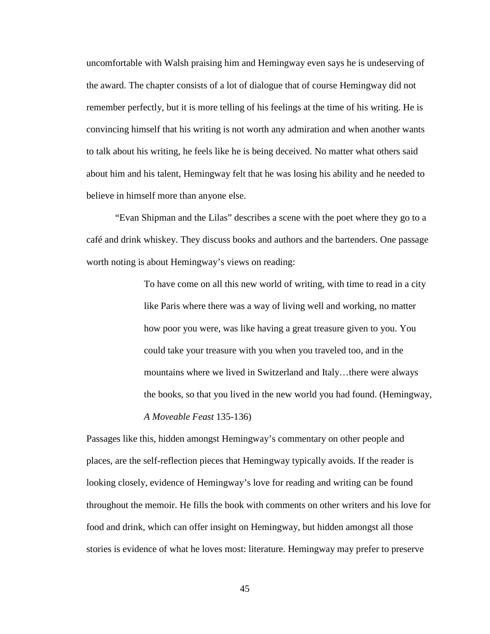uncomfortable with Walsh praising him and Hemingway even says he is undeserving of the award. The chapter consists of a lot of dialogue that of course Hemingway did not remember perfectly, but it is more telling of his feelings at the time of his writing. He is convincing himself that his writing is not worth any admiration and when another wants to talk about his writing, he feels like he is being deceived. No matter what others said about him and his talent, Hemingway felt that he was losing his ability and he needed to believe in himself more than anyone else.

"Evan Shipman and the Lilas" describes a scene with the poet where they go to a café and drink whiskey. They discuss books and authors and the bartenders. One passage worth noting is about Hemingway's views on reading:

> To have come on all this new world of writing, with time to read in a city like Paris where there was a way of living well and working, no matter how poor you were, was like having a great treasure given to you. You could take your treasure with you when you traveled too, and in the mountains where we lived in Switzerland and Italy…there were always the books, so that you lived in the new world you had found. (Hemingway, *A Moveable Feast* 135-136)

Passages like this, hidden amongst Hemingway's commentary on other people and places, are the self-reflection pieces that Hemingway typically avoids. If the reader is looking closely, evidence of Hemingway's love for reading and writing can be found throughout the memoir. He fills the book with comments on other writers and his love for food and drink, which can offer insight on Hemingway, but hidden amongst all those stories is evidence of what he loves most: literature. Hemingway may prefer to preserve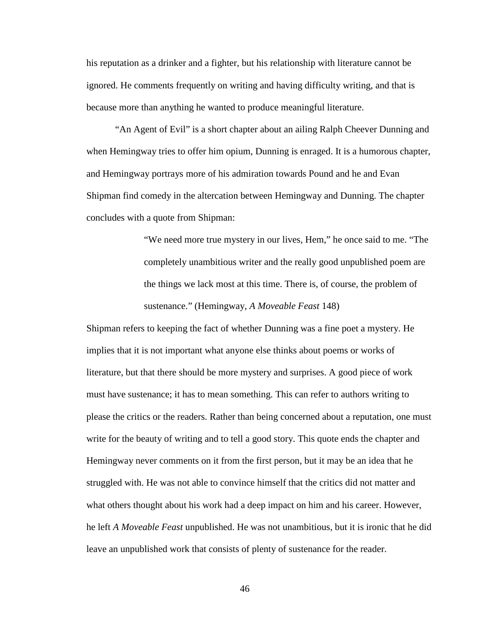his reputation as a drinker and a fighter, but his relationship with literature cannot be ignored. He comments frequently on writing and having difficulty writing, and that is because more than anything he wanted to produce meaningful literature.

"An Agent of Evil" is a short chapter about an ailing Ralph Cheever Dunning and when Hemingway tries to offer him opium, Dunning is enraged. It is a humorous chapter, and Hemingway portrays more of his admiration towards Pound and he and Evan Shipman find comedy in the altercation between Hemingway and Dunning. The chapter concludes with a quote from Shipman:

> "We need more true mystery in our lives, Hem," he once said to me. "The completely unambitious writer and the really good unpublished poem are the things we lack most at this time. There is, of course, the problem of sustenance." (Hemingway, *A Moveable Feast* 148)

Shipman refers to keeping the fact of whether Dunning was a fine poet a mystery. He implies that it is not important what anyone else thinks about poems or works of literature, but that there should be more mystery and surprises. A good piece of work must have sustenance; it has to mean something. This can refer to authors writing to please the critics or the readers. Rather than being concerned about a reputation, one must write for the beauty of writing and to tell a good story. This quote ends the chapter and Hemingway never comments on it from the first person, but it may be an idea that he struggled with. He was not able to convince himself that the critics did not matter and what others thought about his work had a deep impact on him and his career. However, he left *A Moveable Feast* unpublished. He was not unambitious, but it is ironic that he did leave an unpublished work that consists of plenty of sustenance for the reader.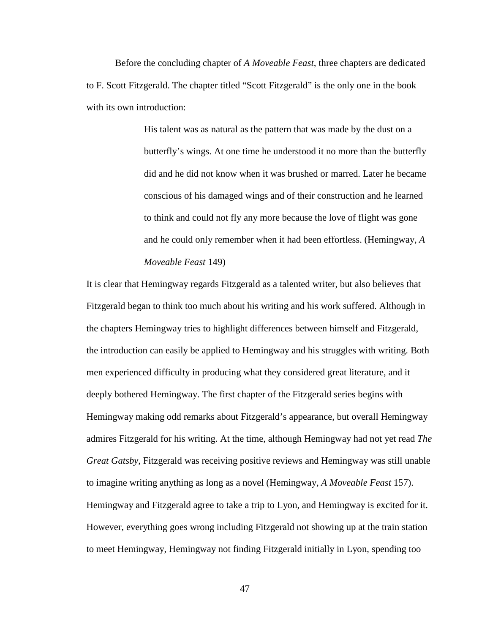Before the concluding chapter of *A Moveable Feast*, three chapters are dedicated to F. Scott Fitzgerald. The chapter titled "Scott Fitzgerald" is the only one in the book with its own introduction:

> His talent was as natural as the pattern that was made by the dust on a butterfly's wings. At one time he understood it no more than the butterfly did and he did not know when it was brushed or marred. Later he became conscious of his damaged wings and of their construction and he learned to think and could not fly any more because the love of flight was gone and he could only remember when it had been effortless. (Hemingway, *A Moveable Feast* 149)

It is clear that Hemingway regards Fitzgerald as a talented writer, but also believes that Fitzgerald began to think too much about his writing and his work suffered. Although in the chapters Hemingway tries to highlight differences between himself and Fitzgerald, the introduction can easily be applied to Hemingway and his struggles with writing. Both men experienced difficulty in producing what they considered great literature, and it deeply bothered Hemingway. The first chapter of the Fitzgerald series begins with Hemingway making odd remarks about Fitzgerald's appearance, but overall Hemingway admires Fitzgerald for his writing. At the time, although Hemingway had not yet read *The Great Gatsby*, Fitzgerald was receiving positive reviews and Hemingway was still unable to imagine writing anything as long as a novel (Hemingway, *A Moveable Feast* 157). Hemingway and Fitzgerald agree to take a trip to Lyon, and Hemingway is excited for it. However, everything goes wrong including Fitzgerald not showing up at the train station to meet Hemingway, Hemingway not finding Fitzgerald initially in Lyon, spending too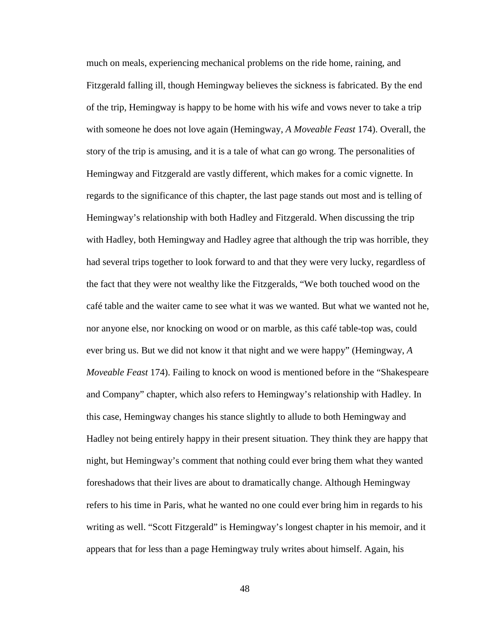much on meals, experiencing mechanical problems on the ride home, raining, and Fitzgerald falling ill, though Hemingway believes the sickness is fabricated. By the end of the trip, Hemingway is happy to be home with his wife and vows never to take a trip with someone he does not love again (Hemingway, *A Moveable Feast* 174). Overall, the story of the trip is amusing, and it is a tale of what can go wrong. The personalities of Hemingway and Fitzgerald are vastly different, which makes for a comic vignette. In regards to the significance of this chapter, the last page stands out most and is telling of Hemingway's relationship with both Hadley and Fitzgerald. When discussing the trip with Hadley, both Hemingway and Hadley agree that although the trip was horrible, they had several trips together to look forward to and that they were very lucky, regardless of the fact that they were not wealthy like the Fitzgeralds, "We both touched wood on the café table and the waiter came to see what it was we wanted. But what we wanted not he, nor anyone else, nor knocking on wood or on marble, as this café table-top was, could ever bring us. But we did not know it that night and we were happy" (Hemingway, *A Moveable Feast* 174). Failing to knock on wood is mentioned before in the "Shakespeare and Company" chapter, which also refers to Hemingway's relationship with Hadley. In this case, Hemingway changes his stance slightly to allude to both Hemingway and Hadley not being entirely happy in their present situation. They think they are happy that night, but Hemingway's comment that nothing could ever bring them what they wanted foreshadows that their lives are about to dramatically change. Although Hemingway refers to his time in Paris, what he wanted no one could ever bring him in regards to his writing as well. "Scott Fitzgerald" is Hemingway's longest chapter in his memoir, and it appears that for less than a page Hemingway truly writes about himself. Again, his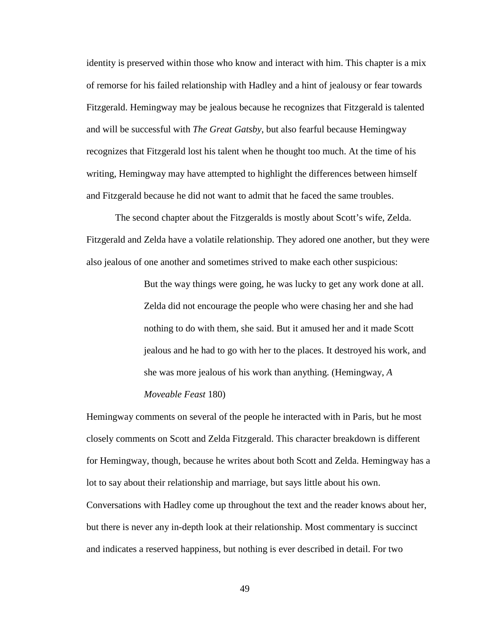identity is preserved within those who know and interact with him. This chapter is a mix of remorse for his failed relationship with Hadley and a hint of jealousy or fear towards Fitzgerald. Hemingway may be jealous because he recognizes that Fitzgerald is talented and will be successful with *The Great Gatsby*, but also fearful because Hemingway recognizes that Fitzgerald lost his talent when he thought too much. At the time of his writing, Hemingway may have attempted to highlight the differences between himself and Fitzgerald because he did not want to admit that he faced the same troubles.

The second chapter about the Fitzgeralds is mostly about Scott's wife, Zelda. Fitzgerald and Zelda have a volatile relationship. They adored one another, but they were also jealous of one another and sometimes strived to make each other suspicious:

> But the way things were going, he was lucky to get any work done at all. Zelda did not encourage the people who were chasing her and she had nothing to do with them, she said. But it amused her and it made Scott jealous and he had to go with her to the places. It destroyed his work, and she was more jealous of his work than anything. (Hemingway, *A Moveable Feast* 180)

Hemingway comments on several of the people he interacted with in Paris, but he most closely comments on Scott and Zelda Fitzgerald. This character breakdown is different for Hemingway, though, because he writes about both Scott and Zelda. Hemingway has a lot to say about their relationship and marriage, but says little about his own. Conversations with Hadley come up throughout the text and the reader knows about her, but there is never any in-depth look at their relationship. Most commentary is succinct and indicates a reserved happiness, but nothing is ever described in detail. For two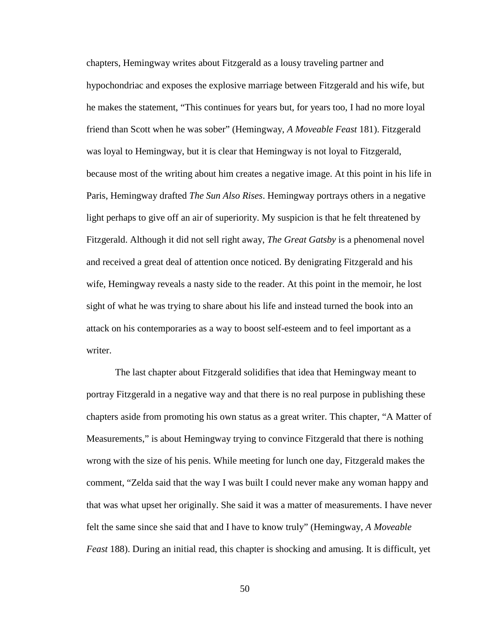chapters, Hemingway writes about Fitzgerald as a lousy traveling partner and hypochondriac and exposes the explosive marriage between Fitzgerald and his wife, but he makes the statement, "This continues for years but, for years too, I had no more loyal friend than Scott when he was sober" (Hemingway, *A Moveable Feast* 181). Fitzgerald was loyal to Hemingway, but it is clear that Hemingway is not loyal to Fitzgerald, because most of the writing about him creates a negative image. At this point in his life in Paris, Hemingway drafted *The Sun Also Rises*. Hemingway portrays others in a negative light perhaps to give off an air of superiority. My suspicion is that he felt threatened by Fitzgerald. Although it did not sell right away, *The Great Gatsby* is a phenomenal novel and received a great deal of attention once noticed. By denigrating Fitzgerald and his wife, Hemingway reveals a nasty side to the reader. At this point in the memoir, he lost sight of what he was trying to share about his life and instead turned the book into an attack on his contemporaries as a way to boost self-esteem and to feel important as a writer.

The last chapter about Fitzgerald solidifies that idea that Hemingway meant to portray Fitzgerald in a negative way and that there is no real purpose in publishing these chapters aside from promoting his own status as a great writer. This chapter, "A Matter of Measurements," is about Hemingway trying to convince Fitzgerald that there is nothing wrong with the size of his penis. While meeting for lunch one day, Fitzgerald makes the comment, "Zelda said that the way I was built I could never make any woman happy and that was what upset her originally. She said it was a matter of measurements. I have never felt the same since she said that and I have to know truly" (Hemingway, *A Moveable Feast* 188). During an initial read, this chapter is shocking and amusing. It is difficult, yet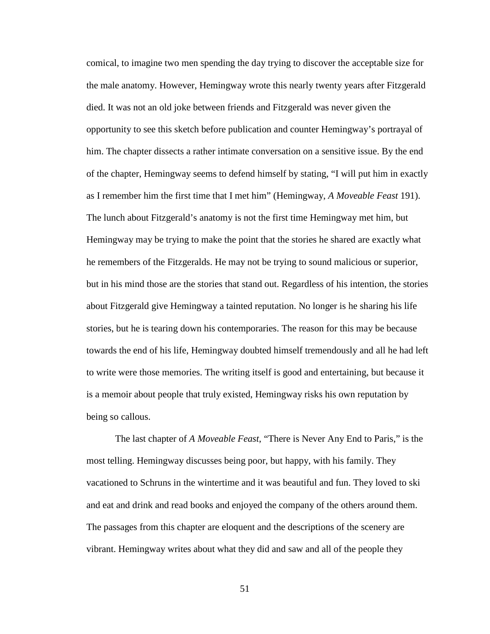comical, to imagine two men spending the day trying to discover the acceptable size for the male anatomy. However, Hemingway wrote this nearly twenty years after Fitzgerald died. It was not an old joke between friends and Fitzgerald was never given the opportunity to see this sketch before publication and counter Hemingway's portrayal of him. The chapter dissects a rather intimate conversation on a sensitive issue. By the end of the chapter, Hemingway seems to defend himself by stating, "I will put him in exactly as I remember him the first time that I met him" (Hemingway, *A Moveable Feast* 191). The lunch about Fitzgerald's anatomy is not the first time Hemingway met him, but Hemingway may be trying to make the point that the stories he shared are exactly what he remembers of the Fitzgeralds. He may not be trying to sound malicious or superior, but in his mind those are the stories that stand out. Regardless of his intention, the stories about Fitzgerald give Hemingway a tainted reputation. No longer is he sharing his life stories, but he is tearing down his contemporaries. The reason for this may be because towards the end of his life, Hemingway doubted himself tremendously and all he had left to write were those memories. The writing itself is good and entertaining, but because it is a memoir about people that truly existed, Hemingway risks his own reputation by being so callous.

The last chapter of *A Moveable Feast*, "There is Never Any End to Paris," is the most telling. Hemingway discusses being poor, but happy, with his family. They vacationed to Schruns in the wintertime and it was beautiful and fun. They loved to ski and eat and drink and read books and enjoyed the company of the others around them. The passages from this chapter are eloquent and the descriptions of the scenery are vibrant. Hemingway writes about what they did and saw and all of the people they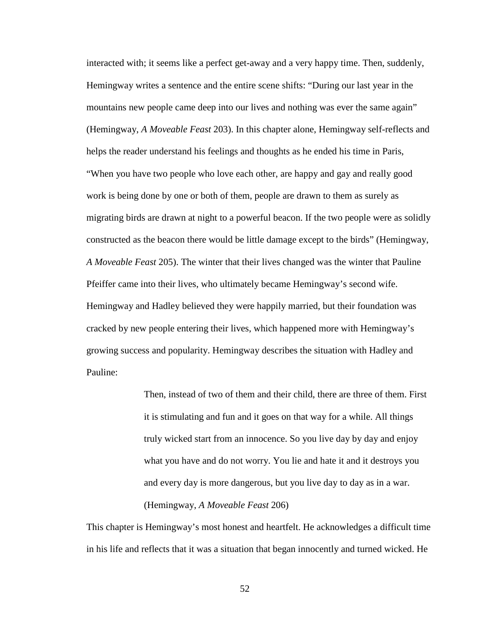interacted with; it seems like a perfect get-away and a very happy time. Then, suddenly, Hemingway writes a sentence and the entire scene shifts: "During our last year in the mountains new people came deep into our lives and nothing was ever the same again" (Hemingway, *A Moveable Feast* 203). In this chapter alone, Hemingway self-reflects and helps the reader understand his feelings and thoughts as he ended his time in Paris, "When you have two people who love each other, are happy and gay and really good work is being done by one or both of them, people are drawn to them as surely as migrating birds are drawn at night to a powerful beacon. If the two people were as solidly constructed as the beacon there would be little damage except to the birds" (Hemingway, *A Moveable Feast* 205). The winter that their lives changed was the winter that Pauline Pfeiffer came into their lives, who ultimately became Hemingway's second wife. Hemingway and Hadley believed they were happily married, but their foundation was cracked by new people entering their lives, which happened more with Hemingway's growing success and popularity. Hemingway describes the situation with Hadley and Pauline:

> Then, instead of two of them and their child, there are three of them. First it is stimulating and fun and it goes on that way for a while. All things truly wicked start from an innocence. So you live day by day and enjoy what you have and do not worry. You lie and hate it and it destroys you and every day is more dangerous, but you live day to day as in a war. (Hemingway, *A Moveable Feast* 206)

This chapter is Hemingway's most honest and heartfelt. He acknowledges a difficult time in his life and reflects that it was a situation that began innocently and turned wicked. He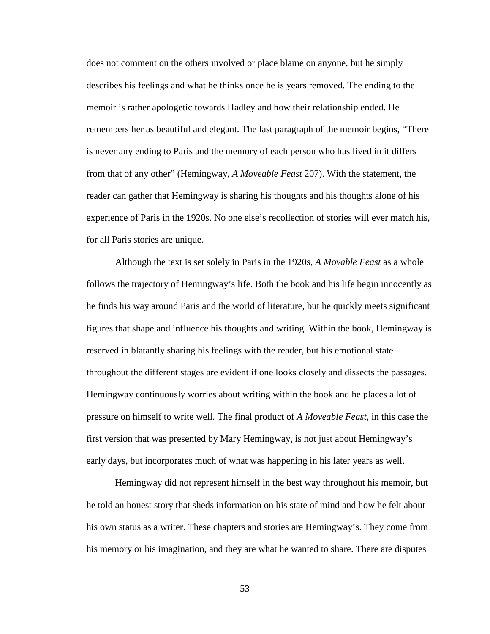does not comment on the others involved or place blame on anyone, but he simply describes his feelings and what he thinks once he is years removed. The ending to the memoir is rather apologetic towards Hadley and how their relationship ended. He remembers her as beautiful and elegant. The last paragraph of the memoir begins, "There is never any ending to Paris and the memory of each person who has lived in it differs from that of any other" (Hemingway, *A Moveable Feast* 207). With the statement, the reader can gather that Hemingway is sharing his thoughts and his thoughts alone of his experience of Paris in the 1920s. No one else's recollection of stories will ever match his, for all Paris stories are unique.

Although the text is set solely in Paris in the 1920s, *A Movable Feast* as a whole follows the trajectory of Hemingway's life. Both the book and his life begin innocently as he finds his way around Paris and the world of literature, but he quickly meets significant figures that shape and influence his thoughts and writing. Within the book, Hemingway is reserved in blatantly sharing his feelings with the reader, but his emotional state throughout the different stages are evident if one looks closely and dissects the passages. Hemingway continuously worries about writing within the book and he places a lot of pressure on himself to write well. The final product of *A Moveable Feast,* in this case the first version that was presented by Mary Hemingway, is not just about Hemingway's early days, but incorporates much of what was happening in his later years as well.

Hemingway did not represent himself in the best way throughout his memoir, but he told an honest story that sheds information on his state of mind and how he felt about his own status as a writer. These chapters and stories are Hemingway's. They come from his memory or his imagination, and they are what he wanted to share. There are disputes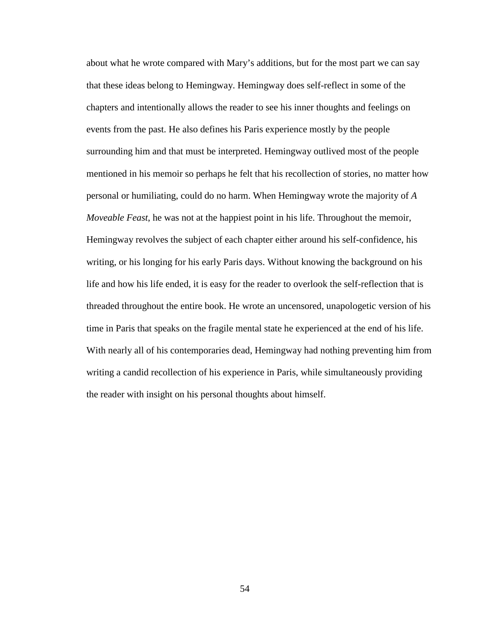about what he wrote compared with Mary's additions, but for the most part we can say that these ideas belong to Hemingway. Hemingway does self-reflect in some of the chapters and intentionally allows the reader to see his inner thoughts and feelings on events from the past. He also defines his Paris experience mostly by the people surrounding him and that must be interpreted. Hemingway outlived most of the people mentioned in his memoir so perhaps he felt that his recollection of stories, no matter how personal or humiliating, could do no harm. When Hemingway wrote the majority of *A Moveable Feast*, he was not at the happiest point in his life. Throughout the memoir, Hemingway revolves the subject of each chapter either around his self-confidence, his writing, or his longing for his early Paris days. Without knowing the background on his life and how his life ended, it is easy for the reader to overlook the self-reflection that is threaded throughout the entire book. He wrote an uncensored, unapologetic version of his time in Paris that speaks on the fragile mental state he experienced at the end of his life. With nearly all of his contemporaries dead, Hemingway had nothing preventing him from writing a candid recollection of his experience in Paris, while simultaneously providing the reader with insight on his personal thoughts about himself.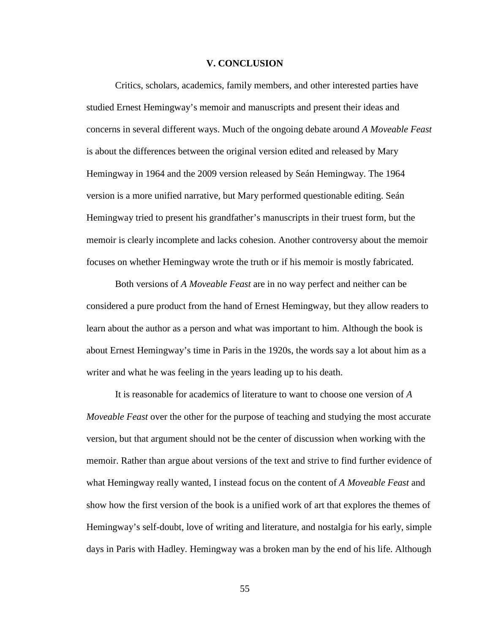#### **V. CONCLUSION**

Critics, scholars, academics, family members, and other interested parties have studied Ernest Hemingway's memoir and manuscripts and present their ideas and concerns in several different ways. Much of the ongoing debate around *A Moveable Feast*  is about the differences between the original version edited and released by Mary Hemingway in 1964 and the 2009 version released by Seán Hemingway. The 1964 version is a more unified narrative, but Mary performed questionable editing. Seán Hemingway tried to present his grandfather's manuscripts in their truest form, but the memoir is clearly incomplete and lacks cohesion. Another controversy about the memoir focuses on whether Hemingway wrote the truth or if his memoir is mostly fabricated.

Both versions of *A Moveable Feast* are in no way perfect and neither can be considered a pure product from the hand of Ernest Hemingway, but they allow readers to learn about the author as a person and what was important to him. Although the book is about Ernest Hemingway's time in Paris in the 1920s, the words say a lot about him as a writer and what he was feeling in the years leading up to his death.

It is reasonable for academics of literature to want to choose one version of *A Moveable Feast* over the other for the purpose of teaching and studying the most accurate version, but that argument should not be the center of discussion when working with the memoir. Rather than argue about versions of the text and strive to find further evidence of what Hemingway really wanted, I instead focus on the content of *A Moveable Feast* and show how the first version of the book is a unified work of art that explores the themes of Hemingway's self-doubt, love of writing and literature, and nostalgia for his early, simple days in Paris with Hadley. Hemingway was a broken man by the end of his life. Although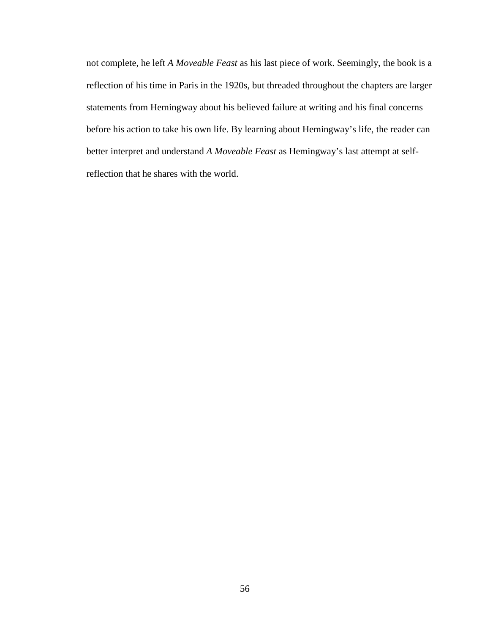not complete, he left *A Moveable Feast* as his last piece of work. Seemingly, the book is a reflection of his time in Paris in the 1920s, but threaded throughout the chapters are larger statements from Hemingway about his believed failure at writing and his final concerns before his action to take his own life. By learning about Hemingway's life, the reader can better interpret and understand *A Moveable Feast* as Hemingway's last attempt at selfreflection that he shares with the world.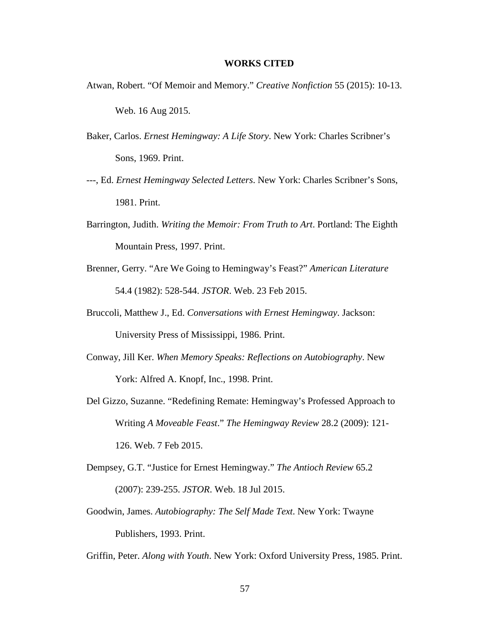#### **WORKS CITED**

Atwan, Robert. "Of Memoir and Memory." *Creative Nonfiction* 55 (2015): 10-13.

Web. 16 Aug 2015.

- Baker, Carlos. *Ernest Hemingway: A Life Story*. New York: Charles Scribner's Sons, 1969. Print.
- ---, Ed. *Ernest Hemingway Selected Letters*. New York: Charles Scribner's Sons, 1981. Print.
- Barrington, Judith. *Writing the Memoir: From Truth to Art*. Portland: The Eighth Mountain Press, 1997. Print.
- Brenner, Gerry. "Are We Going to Hemingway's Feast?" *American Literature*  54.4 (1982): 528-544. *JSTOR*. Web. 23 Feb 2015.
- Bruccoli, Matthew J., Ed. *Conversations with Ernest Hemingway*. Jackson: University Press of Mississippi, 1986. Print.
- Conway, Jill Ker. *When Memory Speaks: Reflections on Autobiography*. New York: Alfred A. Knopf, Inc., 1998. Print.
- Del Gizzo, Suzanne. "Redefining Remate: Hemingway's Professed Approach to Writing *A Moveable Feast*." *The Hemingway Review* 28.2 (2009): 121- 126. Web. 7 Feb 2015.
- Dempsey, G.T. "Justice for Ernest Hemingway." *The Antioch Review* 65.2 (2007): 239-255. *JSTOR*. Web. 18 Jul 2015.
- Goodwin, James. *Autobiography: The Self Made Text*. New York: Twayne Publishers, 1993. Print.

Griffin, Peter. *Along with Youth*. New York: Oxford University Press, 1985. Print.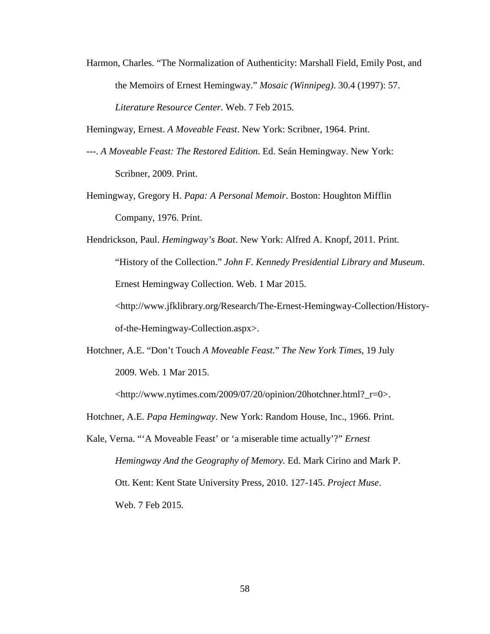Harmon, Charles. "The Normalization of Authenticity: Marshall Field, Emily Post, and the Memoirs of Ernest Hemingway." *Mosaic (Winnipeg)*. 30.4 (1997): 57. *Literature Resource Center*. Web. 7 Feb 2015.

Hemingway, Ernest. *A Moveable Feast*. New York: Scribner, 1964. Print.

- ---. *A Moveable Feast: The Restored Edition*. Ed. Seán Hemingway. New York: Scribner, 2009. Print.
- Hemingway, Gregory H. *Papa: A Personal Memoir*. Boston: Houghton Mifflin Company, 1976. Print.
- Hendrickson, Paul. *Hemingway's Boat*. New York: Alfred A. Knopf, 2011. Print. "History of the Collection." *John F. Kennedy Presidential Library and Museum*. Ernest Hemingway Collection. Web. 1 Mar 2015. <http://www.jfklibrary.org/Research/The-Ernest-Hemingway-Collection/Historyof-the-Hemingway-Collection.aspx>.
- Hotchner, A.E. "Don't Touch *A Moveable Feast.*" *The New York Times*, 19 July 2009. Web. 1 Mar 2015.

<http://www.nytimes.com/2009/07/20/opinion/20hotchner.html?\_r=0>.

- Hotchner, A.E. *Papa Hemingway*. New York: Random House, Inc., 1966. Print.
- Kale, Verna. "'A Moveable Feast' or 'a miserable time actually'?" *Ernest Hemingway And the Geography of Memory.* Ed. Mark Cirino and Mark P. Ott. Kent: Kent State University Press, 2010. 127-145. *Project Muse*. Web. 7 Feb 2015.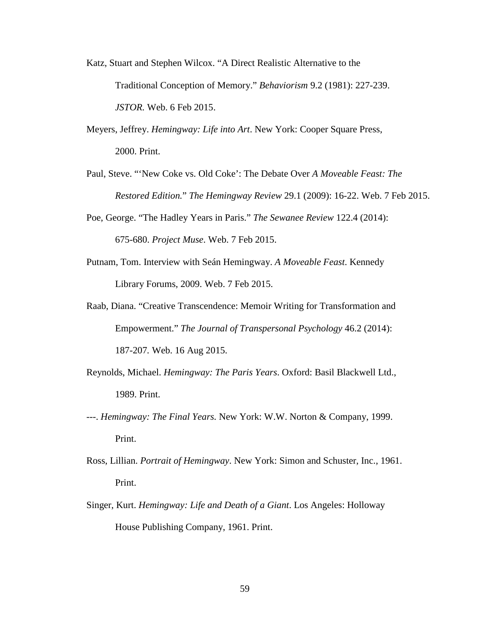- Katz, Stuart and Stephen Wilcox. "A Direct Realistic Alternative to the Traditional Conception of Memory." *Behaviorism* 9.2 (1981): 227-239. *JSTOR.* Web. 6 Feb 2015.
- Meyers, Jeffrey. *Hemingway: Life into Art*. New York: Cooper Square Press, 2000. Print.
- Paul, Steve. "'New Coke vs. Old Coke': The Debate Over *A Moveable Feast: The Restored Edition.*" *The Hemingway Review* 29.1 (2009): 16-22. Web. 7 Feb 2015.
- Poe, George. "The Hadley Years in Paris." *The Sewanee Review* 122.4 (2014): 675-680. *Project Muse*. Web. 7 Feb 2015.
- Putnam, Tom. Interview with Seán Hemingway. *A Moveable Feast*. Kennedy Library Forums, 2009. Web. 7 Feb 2015.
- Raab, Diana. "Creative Transcendence: Memoir Writing for Transformation and Empowerment." *The Journal of Transpersonal Psychology* 46.2 (2014): 187-207*.* Web. 16 Aug 2015.
- Reynolds, Michael. *Hemingway: The Paris Years*. Oxford: Basil Blackwell Ltd., 1989. Print.
- ---. *Hemingway: The Final Years.* New York: W.W. Norton & Company, 1999. Print.
- Ross, Lillian. *Portrait of Hemingway*. New York: Simon and Schuster, Inc., 1961. Print.
- Singer, Kurt. *Hemingway: Life and Death of a Giant*. Los Angeles: Holloway House Publishing Company, 1961. Print.